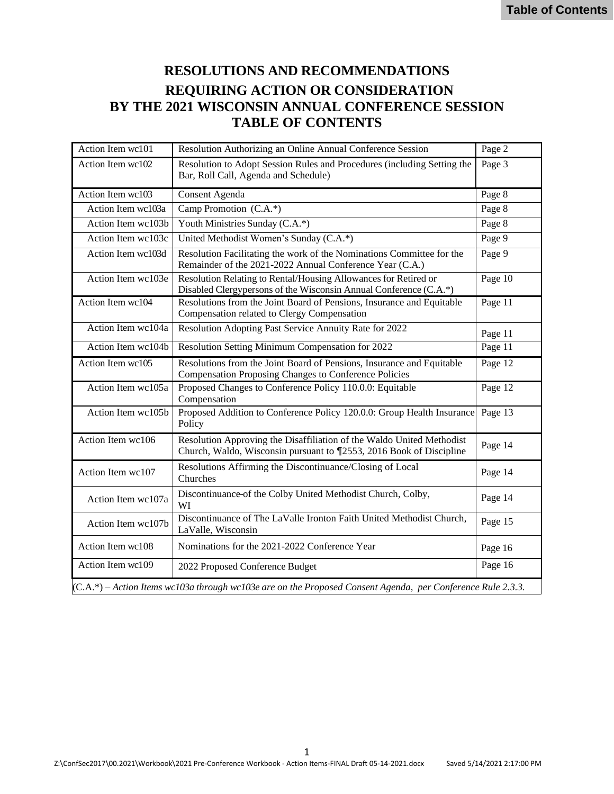# **RESOLUTIONS AND RECOMMENDATIONS REQUIRING ACTION OR CONSIDERATION BY THE 2021 WISCONSIN ANNUAL CONFERENCE SESSION TABLE OF CONTENTS**

| Action Item wc101                                                                                           | Resolution Authorizing an Online Annual Conference Session                                                                                   | Page 2  |  |
|-------------------------------------------------------------------------------------------------------------|----------------------------------------------------------------------------------------------------------------------------------------------|---------|--|
| Action Item wc102                                                                                           | Resolution to Adopt Session Rules and Procedures (including Setting the<br>Bar, Roll Call, Agenda and Schedule)                              | Page 3  |  |
| Action Item wc103                                                                                           | Consent Agenda                                                                                                                               | Page 8  |  |
| Action Item wc103a                                                                                          | Camp Promotion (C.A.*)                                                                                                                       | Page 8  |  |
| Action Item wc103b                                                                                          | Youth Ministries Sunday (C.A.*)                                                                                                              | Page 8  |  |
| Action Item wc103c                                                                                          | United Methodist Women's Sunday (C.A.*)                                                                                                      | Page 9  |  |
| Action Item wc103d                                                                                          | Resolution Facilitating the work of the Nominations Committee for the<br>Remainder of the 2021-2022 Annual Conference Year (C.A.)            | Page 9  |  |
| Action Item wc103e                                                                                          | Resolution Relating to Rental/Housing Allowances for Retired or<br>Disabled Clergypersons of the Wisconsin Annual Conference (C.A.*)         | Page 10 |  |
| Action Item wc104                                                                                           | Resolutions from the Joint Board of Pensions, Insurance and Equitable<br>Compensation related to Clergy Compensation                         | Page 11 |  |
| Action Item wc104a                                                                                          | Resolution Adopting Past Service Annuity Rate for 2022                                                                                       | Page 11 |  |
| Action Item wc104b                                                                                          | Resolution Setting Minimum Compensation for 2022                                                                                             | Page 11 |  |
| Action Item wc105                                                                                           | Resolutions from the Joint Board of Pensions, Insurance and Equitable<br>Compensation Proposing Changes to Conference Policies               | Page 12 |  |
| Action Item wc105a                                                                                          | Proposed Changes to Conference Policy 110.0.0: Equitable<br>Compensation                                                                     | Page 12 |  |
| Action Item wc105b                                                                                          | Proposed Addition to Conference Policy 120.0.0: Group Health Insurance<br>Policy                                                             | Page 13 |  |
| Action Item wc106                                                                                           | Resolution Approving the Disaffiliation of the Waldo United Methodist<br>Church, Waldo, Wisconsin pursuant to ¶2553, 2016 Book of Discipline | Page 14 |  |
| Action Item wc107                                                                                           | Resolutions Affirming the Discontinuance/Closing of Local<br>Churches                                                                        | Page 14 |  |
| Action Item wc107a                                                                                          | Discontinuance of the Colby United Methodist Church, Colby,<br>WI                                                                            | Page 14 |  |
| Action Item wc107b                                                                                          | Discontinuance of The LaValle Ironton Faith United Methodist Church,<br>LaValle, Wisconsin                                                   | Page 15 |  |
| Action Item wc108                                                                                           | Nominations for the 2021-2022 Conference Year                                                                                                | Page 16 |  |
| Action Item wc109                                                                                           | 2022 Proposed Conference Budget                                                                                                              | Page 16 |  |
| $(C.A.*)-Action$ Items wc103a through wc103e are on the Proposed Consent Agenda, per Conference Rule 2.3.3. |                                                                                                                                              |         |  |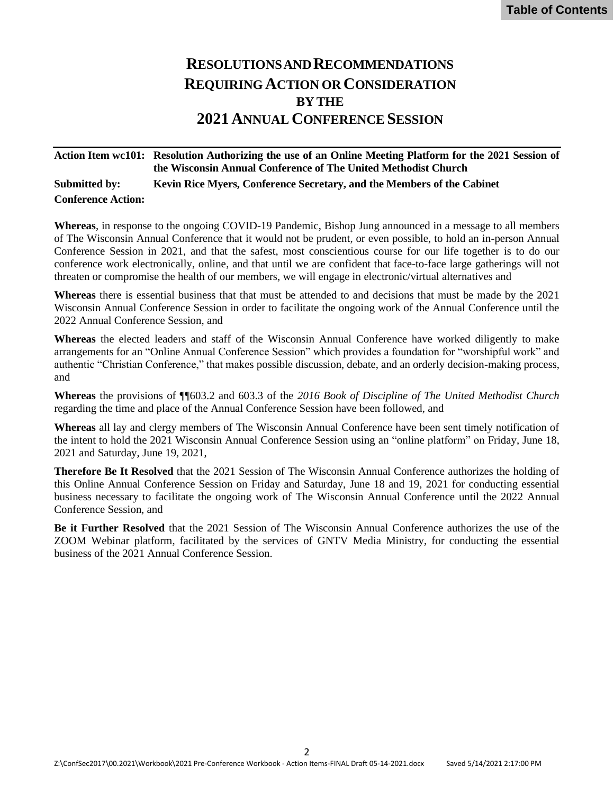# **RESOLUTIONSANDRECOMMENDATIONS REQUIRING ACTION OR CONSIDERATION BY THE 2021 ANNUAL CONFERENCE SESSION**

## <span id="page-1-0"></span>**Action Item wc101: Resolution Authorizing the use of an Online Meeting Platform for the 2021 Session of the Wisconsin Annual Conference of The United Methodist Church Submitted by: Kevin Rice Myers, Conference Secretary, and the Members of the Cabinet Conference Action:**

**Whereas**, in response to the ongoing COVID-19 Pandemic, Bishop Jung announced in a message to all members of The Wisconsin Annual Conference that it would not be prudent, or even possible, to hold an in-person Annual Conference Session in 2021, and that the safest, most conscientious course for our life together is to do our conference work electronically, online, and that until we are confident that face-to-face large gatherings will not threaten or compromise the health of our members, we will engage in electronic/virtual alternatives and

**Whereas** there is essential business that that must be attended to and decisions that must be made by the 2021 Wisconsin Annual Conference Session in order to facilitate the ongoing work of the Annual Conference until the 2022 Annual Conference Session, and

**Whereas** the elected leaders and staff of the Wisconsin Annual Conference have worked diligently to make arrangements for an "Online Annual Conference Session" which provides a foundation for "worshipful work" and authentic "Christian Conference," that makes possible discussion, debate, and an orderly decision-making process, and

**Whereas** the provisions of ¶¶603.2 and 603.3 of the *2016 Book of Discipline of The United Methodist Church* regarding the time and place of the Annual Conference Session have been followed, and

**Whereas** all lay and clergy members of The Wisconsin Annual Conference have been sent timely notification of the intent to hold the 2021 Wisconsin Annual Conference Session using an "online platform" on Friday, June 18, 2021 and Saturday, June 19, 2021,

**Therefore Be It Resolved** that the 2021 Session of The Wisconsin Annual Conference authorizes the holding of this Online Annual Conference Session on Friday and Saturday, June 18 and 19, 2021 for conducting essential business necessary to facilitate the ongoing work of The Wisconsin Annual Conference until the 2022 Annual Conference Session, and

**Be it Further Resolved** that the 2021 Session of The Wisconsin Annual Conference authorizes the use of the ZOOM Webinar platform, facilitated by the services of GNTV Media Ministry, for conducting the essential business of the 2021 Annual Conference Session.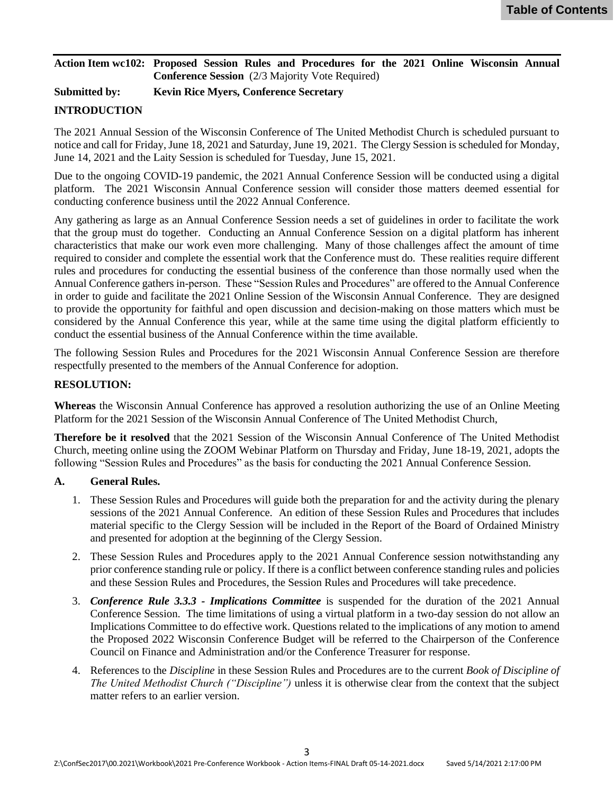#### <span id="page-2-0"></span>**Action Item wc102: Proposed Session Rules and Procedures for the 2021 Online Wisconsin Annual Conference Session** (2/3 Majority Vote Required)

## **Submitted by: Kevin Rice Myers, Conference Secretary**

## **INTRODUCTION**

The 2021 Annual Session of the Wisconsin Conference of The United Methodist Church is scheduled pursuant to notice and call for Friday, June 18, 2021 and Saturday, June 19, 2021. The Clergy Session is scheduled for Monday, June 14, 2021 and the Laity Session is scheduled for Tuesday, June 15, 2021.

Due to the ongoing COVID-19 pandemic, the 2021 Annual Conference Session will be conducted using a digital platform. The 2021 Wisconsin Annual Conference session will consider those matters deemed essential for conducting conference business until the 2022 Annual Conference.

Any gathering as large as an Annual Conference Session needs a set of guidelines in order to facilitate the work that the group must do together. Conducting an Annual Conference Session on a digital platform has inherent characteristics that make our work even more challenging. Many of those challenges affect the amount of time required to consider and complete the essential work that the Conference must do. These realities require different rules and procedures for conducting the essential business of the conference than those normally used when the Annual Conference gathers in-person. These "Session Rules and Procedures" are offered to the Annual Conference in order to guide and facilitate the 2021 Online Session of the Wisconsin Annual Conference. They are designed to provide the opportunity for faithful and open discussion and decision-making on those matters which must be considered by the Annual Conference this year, while at the same time using the digital platform efficiently to conduct the essential business of the Annual Conference within the time available.

The following Session Rules and Procedures for the 2021 Wisconsin Annual Conference Session are therefore respectfully presented to the members of the Annual Conference for adoption.

### **RESOLUTION:**

**Whereas** the Wisconsin Annual Conference has approved a resolution authorizing the use of an Online Meeting Platform for the 2021 Session of the Wisconsin Annual Conference of The United Methodist Church,

**Therefore be it resolved** that the 2021 Session of the Wisconsin Annual Conference of The United Methodist Church, meeting online using the ZOOM Webinar Platform on Thursday and Friday, June 18-19, 2021, adopts the following "Session Rules and Procedures" as the basis for conducting the 2021 Annual Conference Session.

#### **A. General Rules.**

- 1. These Session Rules and Procedures will guide both the preparation for and the activity during the plenary sessions of the 2021 Annual Conference. An edition of these Session Rules and Procedures that includes material specific to the Clergy Session will be included in the Report of the Board of Ordained Ministry and presented for adoption at the beginning of the Clergy Session.
- 2. These Session Rules and Procedures apply to the 2021 Annual Conference session notwithstanding any prior conference standing rule or policy. If there is a conflict between conference standing rules and policies and these Session Rules and Procedures, the Session Rules and Procedures will take precedence.
- 3. *Conference Rule 3.3.3 - Implications Committee* is suspended for the duration of the 2021 Annual Conference Session. The time limitations of using a virtual platform in a two-day session do not allow an Implications Committee to do effective work. Questions related to the implications of any motion to amend the Proposed 2022 Wisconsin Conference Budget will be referred to the Chairperson of the Conference Council on Finance and Administration and/or the Conference Treasurer for response.
- 4. References to the *Discipline* in these Session Rules and Procedures are to the current *Book of Discipline of The United Methodist Church ("Discipline")* unless it is otherwise clear from the context that the subject matter refers to an earlier version.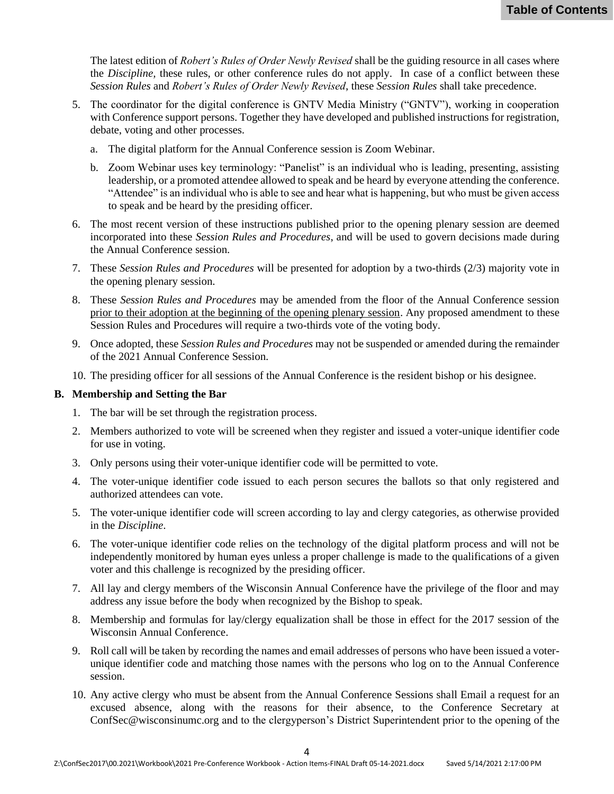The latest edition of *Robert's Rules of Order Newly Revised* shall be the guiding resource in all cases where the *Discipline,* these rules, or other conference rules do not apply. In case of a conflict between these *Session Rules* and *Robert's Rules of Order Newly Revised*, these *Session Rules* shall take precedence.

- 5. The coordinator for the digital conference is GNTV Media Ministry ("GNTV"), working in cooperation with Conference support persons. Together they have developed and published instructions for registration, debate, voting and other processes.
	- a. The digital platform for the Annual Conference session is Zoom Webinar.
	- b. Zoom Webinar uses key terminology: "Panelist" is an individual who is leading, presenting, assisting leadership, or a promoted attendee allowed to speak and be heard by everyone attending the conference. "Attendee" is an individual who is able to see and hear what is happening, but who must be given access to speak and be heard by the presiding officer.
- 6. The most recent version of these instructions published prior to the opening plenary session are deemed incorporated into these *Session Rules and Procedures*, and will be used to govern decisions made during the Annual Conference session.
- 7. These *Session Rules and Procedures* will be presented for adoption by a two-thirds (2/3) majority vote in the opening plenary session.
- 8. These *Session Rules and Procedures* may be amended from the floor of the Annual Conference session prior to their adoption at the beginning of the opening plenary session. Any proposed amendment to these Session Rules and Procedures will require a two-thirds vote of the voting body.
- 9. Once adopted, these *Session Rules and Procedures* may not be suspended or amended during the remainder of the 2021 Annual Conference Session.
- 10. The presiding officer for all sessions of the Annual Conference is the resident bishop or his designee.

#### **B. Membership and Setting the Bar**

- 1. The bar will be set through the registration process.
- 2. Members authorized to vote will be screened when they register and issued a voter-unique identifier code for use in voting.
- 3. Only persons using their voter-unique identifier code will be permitted to vote.
- 4. The voter-unique identifier code issued to each person secures the ballots so that only registered and authorized attendees can vote.
- 5. The voter-unique identifier code will screen according to lay and clergy categories, as otherwise provided in the *Discipline*.
- 6. The voter-unique identifier code relies on the technology of the digital platform process and will not be independently monitored by human eyes unless a proper challenge is made to the qualifications of a given voter and this challenge is recognized by the presiding officer.
- 7. All lay and clergy members of the Wisconsin Annual Conference have the privilege of the floor and may address any issue before the body when recognized by the Bishop to speak.
- 8. Membership and formulas for lay/clergy equalization shall be those in effect for the 2017 session of the Wisconsin Annual Conference.
- 9. Roll call will be taken by recording the names and email addresses of persons who have been issued a voterunique identifier code and matching those names with the persons who log on to the Annual Conference session.
- 10. Any active clergy who must be absent from the Annual Conference Sessions shall Email a request for an excused absence, along with the reasons for their absence, to the Conference Secretary at [ConfSec@wisconsinumc.org](mailto:ConfSec@wisconsinumc.org) and to the clergyperson's District Superintendent prior to the opening of the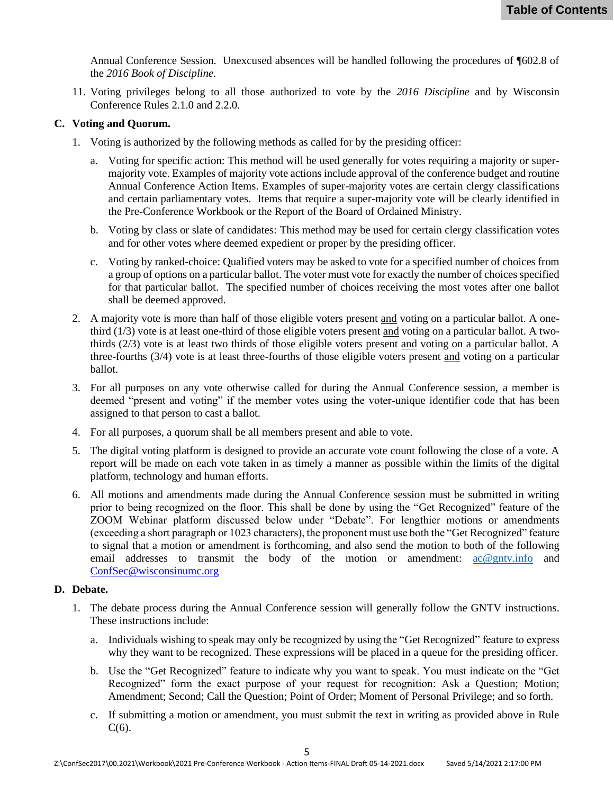Annual Conference Session. Unexcused absences will be handled following the procedures of ¶602.8 of the *2016 Book of Discipline*.

11. Voting privileges belong to all those authorized to vote by the *2016 Discipline* and by Wisconsin Conference Rules 2.1.0 and 2.2.0.

#### **C. Voting and Quorum.**

- 1. Voting is authorized by the following methods as called for by the presiding officer:
	- a. Voting for specific action: This method will be used generally for votes requiring a majority or supermajority vote. Examples of majority vote actions include approval of the conference budget and routine Annual Conference Action Items. Examples of super-majority votes are certain clergy classifications and certain parliamentary votes. Items that require a super-majority vote will be clearly identified in the Pre-Conference Workbook or the Report of the Board of Ordained Ministry.
	- b. Voting by class or slate of candidates: This method may be used for certain clergy classification votes and for other votes where deemed expedient or proper by the presiding officer.
	- c. Voting by ranked-choice: Qualified voters may be asked to vote for a specified number of choices from a group of options on a particular ballot. The voter must vote for exactly the number of choices specified for that particular ballot. The specified number of choices receiving the most votes after one ballot shall be deemed approved.
- 2. A majority vote is more than half of those eligible voters present and voting on a particular ballot. A onethird (1/3) vote is at least one-third of those eligible voters present and voting on a particular ballot. A twothirds (2/3) vote is at least two thirds of those eligible voters present and voting on a particular ballot. A three-fourths (3/4) vote is at least three-fourths of those eligible voters present and voting on a particular ballot.
- 3. For all purposes on any vote otherwise called for during the Annual Conference session, a member is deemed "present and voting" if the member votes using the voter-unique identifier code that has been assigned to that person to cast a ballot.
- 4. For all purposes, a quorum shall be all members present and able to vote.
- 5. The digital voting platform is designed to provide an accurate vote count following the close of a vote. A report will be made on each vote taken in as timely a manner as possible within the limits of the digital platform, technology and human efforts.
- 6. All motions and amendments made during the Annual Conference session must be submitted in writing prior to being recognized on the floor. This shall be done by using the "Get Recognized" feature of the ZOOM Webinar platform discussed below under "Debate". For lengthier motions or amendments (exceeding a short paragraph or 1023 characters), the proponent must use both the "Get Recognized" feature to signal that a motion or amendment is forthcoming, and also send the motion to both of the following email addresses to transmit the body of the motion or amendment: [ac@gntv.info](mailto:ac@gntv.info) and [ConfSec@wisconsinumc.org](mailto:ConfSec@wisconsinumc.org)

#### **D. Debate.**

- 1. The debate process during the Annual Conference session will generally follow the GNTV instructions. These instructions include:
	- a. Individuals wishing to speak may only be recognized by using the "Get Recognized" feature to express why they want to be recognized. These expressions will be placed in a queue for the presiding officer.
	- b. Use the "Get Recognized" feature to indicate why you want to speak. You must indicate on the "Get Recognized" form the exact purpose of your request for recognition: Ask a Question; Motion; Amendment; Second; Call the Question; Point of Order; Moment of Personal Privilege; and so forth.
	- c. If submitting a motion or amendment, you must submit the text in writing as provided above in Rule  $C(6)$ .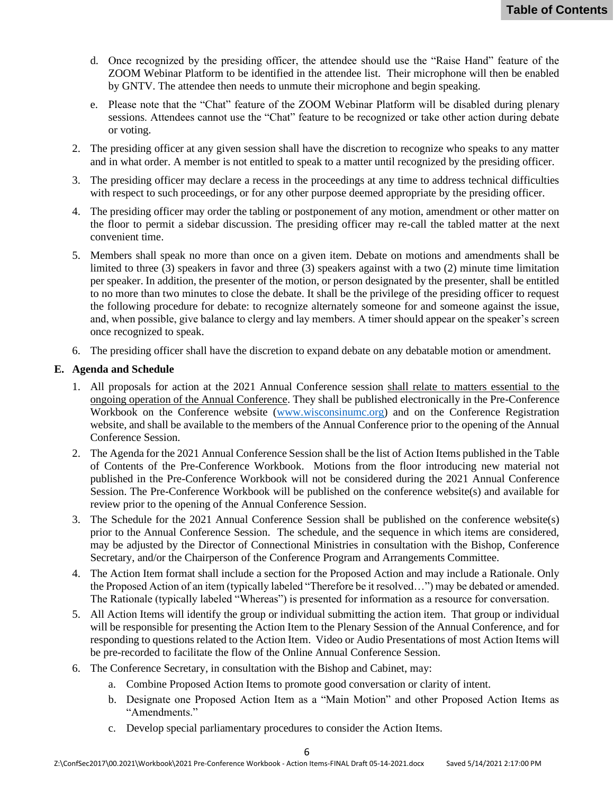- d. Once recognized by the presiding officer, the attendee should use the "Raise Hand" feature of the ZOOM Webinar Platform to be identified in the attendee list. Their microphone will then be enabled by GNTV. The attendee then needs to unmute their microphone and begin speaking.
- e. Please note that the "Chat" feature of the ZOOM Webinar Platform will be disabled during plenary sessions. Attendees cannot use the "Chat" feature to be recognized or take other action during debate or voting.
- 2. The presiding officer at any given session shall have the discretion to recognize who speaks to any matter and in what order. A member is not entitled to speak to a matter until recognized by the presiding officer.
- 3. The presiding officer may declare a recess in the proceedings at any time to address technical difficulties with respect to such proceedings, or for any other purpose deemed appropriate by the presiding officer.
- 4. The presiding officer may order the tabling or postponement of any motion, amendment or other matter on the floor to permit a sidebar discussion. The presiding officer may re-call the tabled matter at the next convenient time.
- 5. Members shall speak no more than once on a given item. Debate on motions and amendments shall be limited to three (3) speakers in favor and three (3) speakers against with a two (2) minute time limitation per speaker. In addition, the presenter of the motion, or person designated by the presenter, shall be entitled to no more than two minutes to close the debate. It shall be the privilege of the presiding officer to request the following procedure for debate: to recognize alternately someone for and someone against the issue, and, when possible, give balance to clergy and lay members. A timer should appear on the speaker's screen once recognized to speak.
- 6. The presiding officer shall have the discretion to expand debate on any debatable motion or amendment.

### **E. Agenda and Schedule**

- 1. All proposals for action at the 2021 Annual Conference session shall relate to matters essential to the ongoing operation of the Annual Conference. They shall be published electronically in the Pre-Conference Workbook on the Conference website [\(www.wisconsinumc.org\)](http://www.wisconsinumc.org/) and on the Conference Registration website, and shall be available to the members of the Annual Conference prior to the opening of the Annual Conference Session.
- 2. The Agenda for the 2021 Annual Conference Session shall be the list of Action Items published in the Table of Contents of the Pre-Conference Workbook. Motions from the floor introducing new material not published in the Pre-Conference Workbook will not be considered during the 2021 Annual Conference Session. The Pre-Conference Workbook will be published on the conference website(s) and available for review prior to the opening of the Annual Conference Session.
- 3. The Schedule for the 2021 Annual Conference Session shall be published on the conference website(s) prior to the Annual Conference Session. The schedule, and the sequence in which items are considered, may be adjusted by the Director of Connectional Ministries in consultation with the Bishop, Conference Secretary, and/or the Chairperson of the Conference Program and Arrangements Committee.
- 4. The Action Item format shall include a section for the Proposed Action and may include a Rationale. Only the Proposed Action of an item (typically labeled "Therefore be it resolved…") may be debated or amended. The Rationale (typically labeled "Whereas") is presented for information as a resource for conversation.
- 5. All Action Items will identify the group or individual submitting the action item. That group or individual will be responsible for presenting the Action Item to the Plenary Session of the Annual Conference, and for responding to questions related to the Action Item. Video or Audio Presentations of most Action Items will be pre-recorded to facilitate the flow of the Online Annual Conference Session.
- 6. The Conference Secretary, in consultation with the Bishop and Cabinet, may:
	- a. Combine Proposed Action Items to promote good conversation or clarity of intent.
	- b. Designate one Proposed Action Item as a "Main Motion" and other Proposed Action Items as "Amendments."
	- c. Develop special parliamentary procedures to consider the Action Items.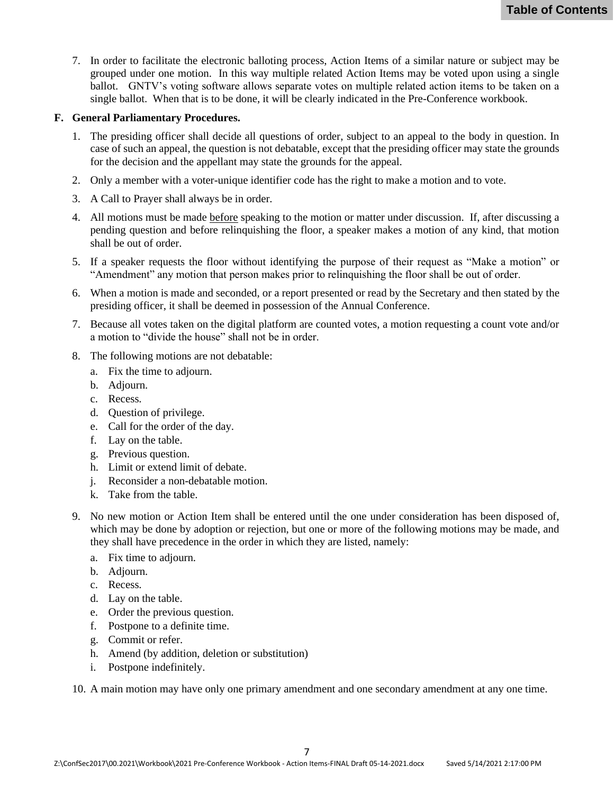7. In order to facilitate the electronic balloting process, Action Items of a similar nature or subject may be grouped under one motion. In this way multiple related Action Items may be voted upon using a single ballot. GNTV's voting software allows separate votes on multiple related action items to be taken on a single ballot. When that is to be done, it will be clearly indicated in the Pre-Conference workbook.

#### **F. General Parliamentary Procedures.**

- 1. The presiding officer shall decide all questions of order, subject to an appeal to the body in question. In case of such an appeal, the question is not debatable, except that the presiding officer may state the grounds for the decision and the appellant may state the grounds for the appeal.
- 2. Only a member with a voter-unique identifier code has the right to make a motion and to vote.
- 3. A Call to Prayer shall always be in order.
- 4. All motions must be made before speaking to the motion or matter under discussion. If, after discussing a pending question and before relinquishing the floor, a speaker makes a motion of any kind, that motion shall be out of order.
- 5. If a speaker requests the floor without identifying the purpose of their request as "Make a motion" or "Amendment" any motion that person makes prior to relinquishing the floor shall be out of order.
- 6. When a motion is made and seconded, or a report presented or read by the Secretary and then stated by the presiding officer, it shall be deemed in possession of the Annual Conference.
- 7. Because all votes taken on the digital platform are counted votes, a motion requesting a count vote and/or a motion to "divide the house" shall not be in order.
- 8. The following motions are not debatable:
	- a. Fix the time to adjourn.
	- b. Adjourn.
	- c. Recess.
	- d. Question of privilege.
	- e. Call for the order of the day.
	- f. Lay on the table.
	- g. Previous question.
	- h. Limit or extend limit of debate.
	- j. Reconsider a non-debatable motion.
	- k. Take from the table.
- 9. No new motion or Action Item shall be entered until the one under consideration has been disposed of, which may be done by adoption or rejection, but one or more of the following motions may be made, and they shall have precedence in the order in which they are listed, namely:
	- a. Fix time to adjourn.
	- b. Adjourn.
	- c. Recess.
	- d. Lay on the table.
	- e. Order the previous question.
	- f. Postpone to a definite time.
	- g. Commit or refer.
	- h. Amend (by addition, deletion or substitution)
	- i. Postpone indefinitely.

10. A main motion may have only one primary amendment and one secondary amendment at any one time.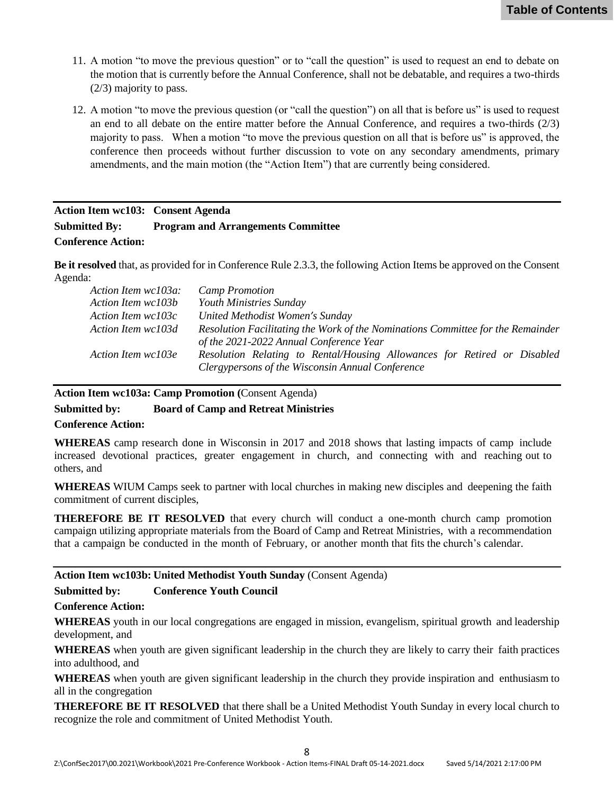- <span id="page-7-0"></span>11. A motion "to move the previous question" or to "call the question" is used to request an end to debate on the motion that is currently before the Annual Conference, shall not be debatable, and requires a two-thirds (2/3) majority to pass.
- 12. A motion "to move the previous question (or "call the question") on all that is before us" is used to request an end to all debate on the entire matter before the Annual Conference, and requires a two-thirds (2/3) majority to pass. When a motion "to move the previous question on all that is before us" is approved, the conference then proceeds without further discussion to vote on any secondary amendments, primary amendments, and the main motion (the "Action Item") that are currently being considered.

## **Action Item wc103: Consent Agenda Submitted By: Program and Arrangements Committee Conference Action:**

**Be it resolved** that, as provided for in Conference Rule 2.3.3, the following Action Items be approved on the Consent Agenda:

| Action Item wc103a: | <b>Camp Promotion</b>                                                           |
|---------------------|---------------------------------------------------------------------------------|
| Action Item wc103b  | <b>Youth Ministries Sunday</b>                                                  |
| Action Item wc103c  | United Methodist Women's Sunday                                                 |
| Action Item wc103d  | Resolution Facilitating the Work of the Nominations Committee for the Remainder |
|                     | of the 2021-2022 Annual Conference Year                                         |
| Action Item wc103e  | Resolution Relating to Rental/Housing Allowances for Retired or Disabled        |
|                     | Clergypersons of the Wisconsin Annual Conference                                |

#### **Action Item wc103a: Camp Promotion (**Consent Agenda)

#### **Submitted by: Board of Camp and Retreat Ministries**

#### **Conference Action:**

**WHEREAS** camp research done in Wisconsin in 2017 and 2018 shows that lasting impacts of camp include increased devotional practices, greater engagement in church, and connecting with and reaching out to others, and

**WHEREAS** WIUM Camps seek to partner with local churches in making new disciples and deepening the faith commitment of current disciples,

**THEREFORE BE IT RESOLVED** that every church will conduct a one-month church camp promotion campaign utilizing appropriate materials from the Board of Camp and Retreat Ministries, with a recommendation that a campaign be conducted in the month of February, or another month that fits the church's calendar.

#### **Action Item wc103b: United Methodist Youth Sunday** (Consent Agenda)

#### **Submitted by: Conference Youth Council**

**Conference Action:**

**WHEREAS** youth in our local congregations are engaged in mission, evangelism, spiritual growth and leadership development, and

**WHEREAS** when youth are given significant leadership in the church they are likely to carry their faith practices into adulthood, and

**WHEREAS** when youth are given significant leadership in the church they provide inspiration and enthusiasm to all in the congregation

**THEREFORE BE IT RESOLVED** that there shall be a United Methodist Youth Sunday in every local church to recognize the role and commitment of United Methodist Youth.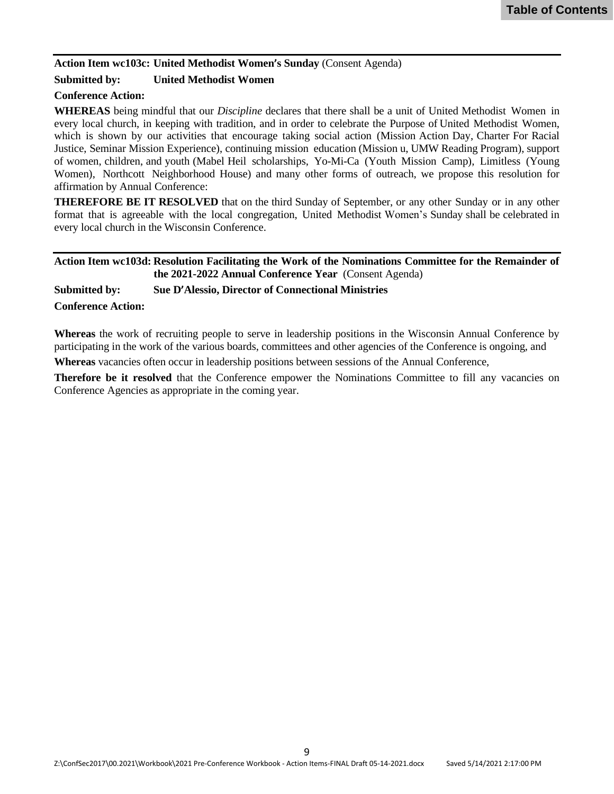### <span id="page-8-0"></span>**Action Item wc103c: United Methodist Women's Sunday** (Consent Agenda)

### **Submitted by: United Methodist Women**

### **Conference Action:**

**WHEREAS** being mindful that our *Discipline* declares that there shall be a unit of United Methodist Women in every local church, in keeping with tradition, and in order to celebrate the Purpose of United Methodist Women, which is shown by our activities that encourage taking social action (Mission Action Day, Charter For Racial Justice, Seminar Mission Experience), continuing mission education (Mission u, UMW Reading Program), support of women, children, and youth (Mabel Heil scholarships, Yo-Mi-Ca (Youth Mission Camp), Limitless (Young Women), Northcott Neighborhood House) and many other forms of outreach, we propose this resolution for affirmation by Annual Conference:

**THEREFORE BE IT RESOLVED** that on the third Sunday of September, or any other Sunday or in any other format that is agreeable with the local congregation, United Methodist Women's Sunday shall be celebrated in every local church in the Wisconsin Conference.

#### **Action Item wc103d: Resolution Facilitating the Work of the Nominations Committee for the Remainder of the 2021-2022 Annual Conference Year** (Consent Agenda)

**Submitted by: Sue D'Alessio, Director of Connectional Ministries**

#### **Conference Action:**

**Whereas** the work of recruiting people to serve in leadership positions in the Wisconsin Annual Conference by participating in the work of the various boards, committees and other agencies of the Conference is ongoing, and

**Whereas** vacancies often occur in leadership positions between sessions of the Annual Conference,

**Therefore be it resolved** that the Conference empower the Nominations Committee to fill any vacancies on Conference Agencies as appropriate in the coming year.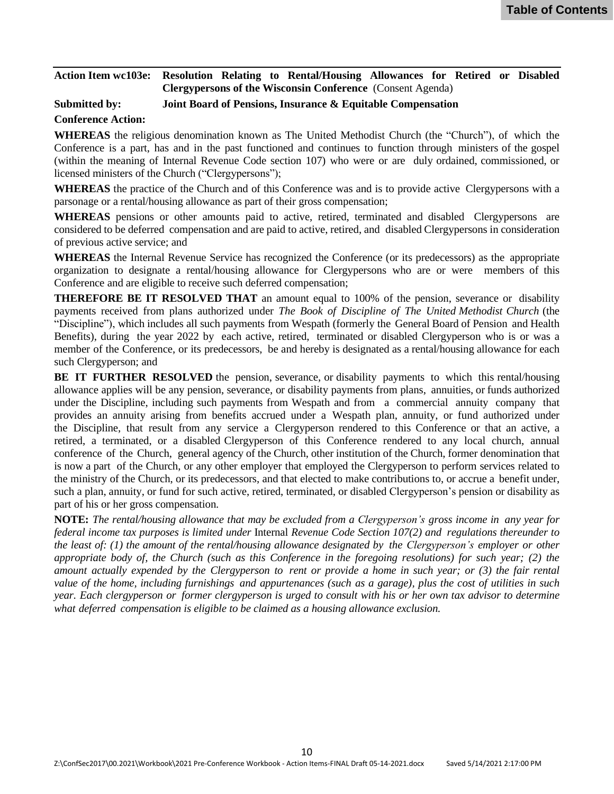#### <span id="page-9-0"></span>**Action Item wc103e: Resolution Relating to Rental/Housing Allowances for Retired or Disabled Clergypersons of the Wisconsin Conference** (Consent Agenda)

#### **Submitted by: Joint Board of Pensions, Insurance & Equitable Compensation**

#### **Conference Action:**

**WHEREAS** the religious denomination known as The United Methodist Church (the "Church"), of which the Conference is a part, has and in the past functioned and continues to function through ministers of the gospel (within the meaning of Internal Revenue Code section 107) who were or are duly ordained, commissioned, or licensed ministers of the Church ("Clergypersons");

**WHEREAS** the practice of the Church and of this Conference was and is to provide active Clergypersons with a parsonage or a rental/housing allowance as part of their gross compensation;

**WHEREAS** pensions or other amounts paid to active, retired, terminated and disabled Clergypersons are considered to be deferred compensation and are paid to active, retired, and disabled Clergypersons in consideration of previous active service; and

**WHEREAS** the Internal Revenue Service has recognized the Conference (or its predecessors) as the appropriate organization to designate a rental/housing allowance for Clergypersons who are or were members of this Conference and are eligible to receive such deferred compensation;

**THEREFORE BE IT RESOLVED THAT** an amount equal to 100% of the pension, severance or disability payments received from plans authorized under *The Book of Discipline of The United Methodist Church* (the "Discipline"), which includes all such payments from Wespath (formerly the General Board of Pension and Health Benefits), during the year 2022 by each active, retired, terminated or disabled Clergyperson who is or was a member of the Conference, or its predecessors, be and hereby is designated as a rental/housing allowance for each such Clergyperson; and

**BE IT FURTHER RESOLVED** the pension, severance, or disability payments to which this rental/housing allowance applies will be any pension, severance, or disability payments from plans, annuities, or funds authorized under the Discipline, including such payments from Wespath and from a commercial annuity company that provides an annuity arising from benefits accrued under a Wespath plan, annuity, or fund authorized under the Discipline, that result from any service a Clergyperson rendered to this Conference or that an active, a retired, a terminated, or a disabled Clergyperson of this Conference rendered to any local church, annual conference of the Church, general agency of the Church, other institution of the Church, former denomination that is now a part of the Church, or any other employer that employed the Clergyperson to perform services related to the ministry of the Church, or its predecessors, and that elected to make contributions to, or accrue a benefit under, such a plan, annuity, or fund for such active, retired, terminated, or disabled Clergyperson's pension or disability as part of his or her gross compensation.

**NOTE:** The rental/housing allowance that may be excluded from a Clergyperson's gross income in any year for *federal income tax purposes is limited under* Internal *Revenue Code Section 107(2) and regulations thereunder to* the least of:  $(1)$  the amount of the rental/housing allowance designated by the Clergyperson's employer or other appropriate body of, the Church (such as this Conference in the foregoing resolutions) for such year; (2) the amount actually expended by the Clergyperson to rent or provide a home in such year; or  $(3)$  the fair rental value of the home, including furnishings and appurtenances (such as a garage), plus the cost of utilities in such year. Each clergyperson or former clergyperson is urged to consult with his or her own tax advisor to determine *what deferred compensation is eligible to be claimed as a housing allowance exclusion.*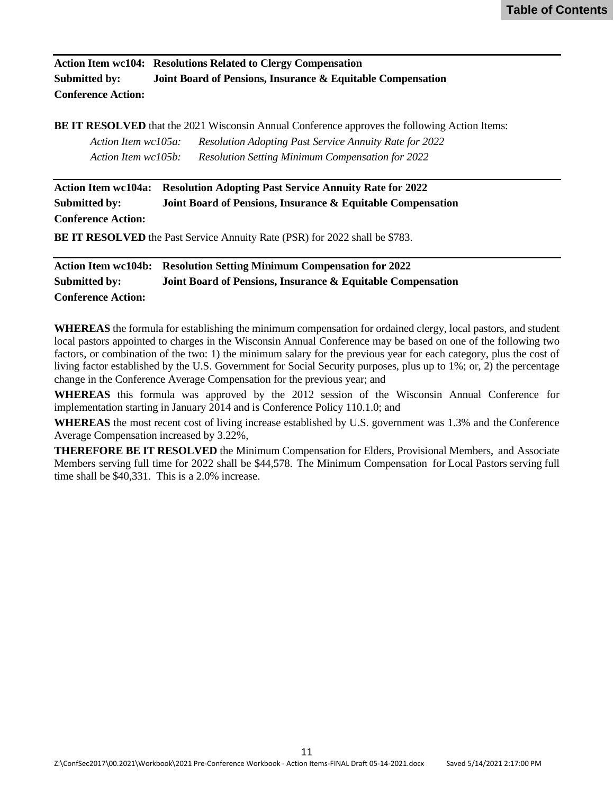<span id="page-10-0"></span>**Action Item wc104: Resolutions Related to Clergy Compensation Submitted by: Joint Board of Pensions, Insurance & Equitable Compensation Conference Action:**

**BE IT RESOLVED** that the 2021 Wisconsin Annual Conference approves the following Action Items: *Action Item wc105a: Resolution Adopting Past Service Annuity Rate for 2022 Action Item wc105b: Resolution Setting Minimum Compensation for 2022*

**Action Item wc104a: Resolution Adopting Past Service Annuity Rate for 2022 Submitted by: Joint Board of Pensions, Insurance & Equitable Compensation Conference Action:**

**BE IT RESOLVED** the Past Service Annuity Rate (PSR) for 2022 shall be \$783.

**Action Item wc104b: Resolution Setting Minimum Compensation for 2022 Submitted by: Joint Board of Pensions, Insurance & Equitable Compensation Conference Action:**

**WHEREAS** the formula for establishing the minimum compensation for ordained clergy, local pastors, and student local pastors appointed to charges in the Wisconsin Annual Conference may be based on one of the following two factors, or combination of the two: 1) the minimum salary for the previous year for each category, plus the cost of living factor established by the U.S. Government for Social Security purposes, plus up to 1%; or, 2) the percentage change in the Conference Average Compensation for the previous year; and

**WHEREAS** this formula was approved by the 2012 session of the Wisconsin Annual Conference for implementation starting in January 2014 and is Conference Policy 110.1.0; and

**WHEREAS** the most recent cost of living increase established by U.S. government was 1.3% and the Conference Average Compensation increased by 3.22%,

**THEREFORE BE IT RESOLVED** the Minimum Compensation for Elders, Provisional Members, and Associate Members serving full time for 2022 shall be \$44,578. The Minimum Compensation for Local Pastors serving full time shall be \$40,331. This is a 2.0% increase.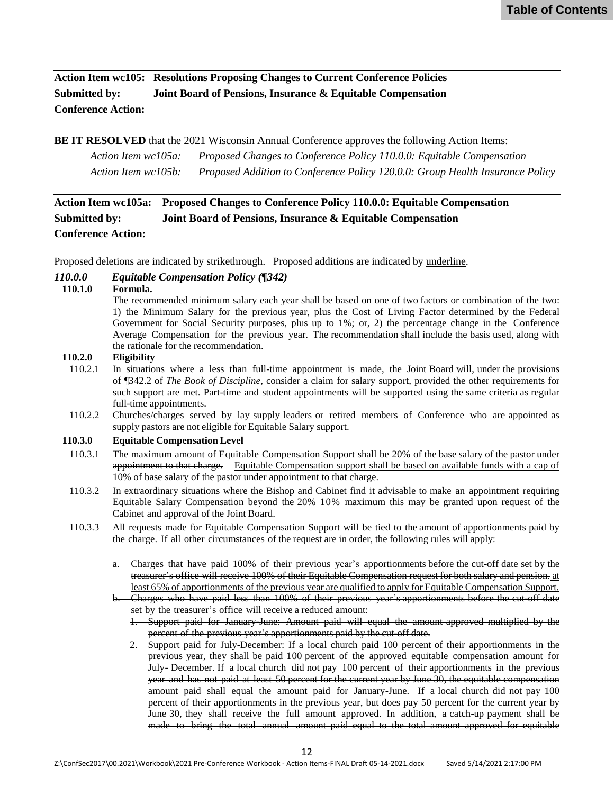<span id="page-11-0"></span>**Action Item wc105: Resolutions Proposing Changes to Current Conference Policies Submitted by: Joint Board of Pensions, Insurance & Equitable Compensation Conference Action:**

**BE IT RESOLVED** that the 2021 Wisconsin Annual Conference approves the following Action Items:

*Action Item wc105a: Proposed Changes to Conference Policy 110.0.0: Equitable Compensation Action Item wc105b: Proposed Addition to Conference Policy 120.0.0: Group Health Insurance Policy*

## **Action Item wc105a: Proposed Changes to Conference Policy 110.0.0: Equitable Compensation Submitted by: Joint Board of Pensions, Insurance & Equitable Compensation Conference Action:**

Proposed deletions are indicated by strikethrough. Proposed additions are indicated by underline.

#### *110.0.0 Equitable Compensation Policy (¶342)*

#### **110.1.0 Formula.**

The recommended minimum salary each year shall be based on one of two factors or combination of the two: 1) the Minimum Salary for the previous year, plus the Cost of Living Factor determined by the Federal Government for Social Security purposes, plus up to 1%; or, 2) the percentage change in the Conference Average Compensation for the previous year. The recommendation shall include the basis used, along with the rationale for the recommendation.

#### **110.2.0 Eligibility**

- 110.2.1 In situations where a less than full-time appointment is made, the Joint Board will, under the provisions of ¶342.2 of *The Book of Discipline*, consider a claim for salary support, provided the other requirements for such support are met. Part-time and student appointments will be supported using the same criteria as regular full-time appointments.
- 110.2.2 Churches/charges served by <u>lay supply leaders or</u> retired members of Conference who are appointed as supply pastors are not eligible for Equitable Salary support.

#### **110.3.0 Equitable Compensation Level**

- 110.3.1 The maximum amount of Equitable Compensation Support shall be 20% of the base salary of the pastor under appointment to that charge. Equitable Compensation support shall be based on available funds with a cap of 10% of base salary of the pastor under appointment to that charge.
- 110.3.2 In extraordinary situations where the Bishop and Cabinet find it advisable to make an appointment requiring Equitable Salary Compensation beyond the  $20\%$  10% maximum this may be granted upon request of the Cabinet and approval of the Joint Board.
- 110.3.3 All requests made for Equitable Compensation Support will be tied to the amount of apportionments paid by the charge. If all other circumstances of the request are in order, the following rules will apply:
	- a. Charges that have paid 100% of their previous year's apportionments before the cut-off date set by the treasurer's office will receive 100% of their Equitable Compensation request for both salary and pension. at least 65% of apportionments of the previous year are qualified to apply for Equitable Compensation Support.
	- b. Charges who have paid less than 100% of their previous year's apportionments before the cut-off date set by the treasurer's office will receive a reduced amount:
		- 1. Support paid for January-June: Amount paid will equal the amount approved multiplied by the percent of the previous year's apportionments paid by the cut-off date.
		- 2. Support paid for July December: If a local church paid 100 percent of their apportionments in the previous year, they shall be paid 100 percent of the approved equitable compensation amount for July- December. If a local church did not pay 100 percent of their apportionments in the previous year and has not paid at least 50 percent for the current year by June 30, the equitable compensation amount paid shall equal the amount paid for January-June. If a local church did not pay 100 percent of their apportionments in the previous year, but does pay 50 percent for the current year by June 30, they shall receive the full amount approved. In addition, a catch-up payment shall be made to bring the total annual amount paid equal to the total amount approved for equitable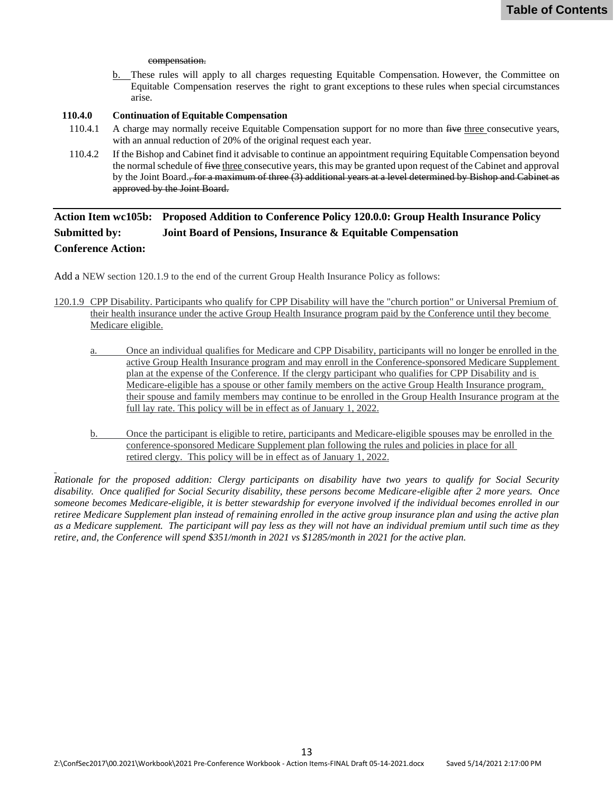#### compensation.

b. These rules will apply to all charges requesting Equitable Compensation. However, the Committee on Equitable Compensation reserves the right to grant exceptions to these rules when special circumstances arise.

#### <span id="page-12-0"></span>**110.4.0 Continuation of Equitable Compensation**

- 110.4.1 A charge may normally receive Equitable Compensation support for no more than five three consecutive years, with an annual reduction of 20% of the original request each year.
- 110.4.2 If the Bishop and Cabinet find it advisable to continue an appointment requiring Equitable Compensation beyond the normal schedule of five three consecutive years, this may be granted upon request of the Cabinet and approval by the Joint Board., for a maximum of three (3) additional years at a level determined by Bishop and Cabinet as approved by the Joint Board.

## **Action Item wc105b: Proposed Addition to Conference Policy 120.0.0: Group Health Insurance Policy Submitted by: Joint Board of Pensions, Insurance & Equitable Compensation Conference Action:**

Add a NEW section 120.1.9 to the end of the current Group Health Insurance Policy as follows:

- 120.1.9 CPP Disability. Participants who qualify for CPP Disability will have the "church portion" or Universal Premium of their health insurance under the active Group Health Insurance program paid by the Conference until they become Medicare eligible.
	- a. Once an individual qualifies for Medicare and CPP Disability, participants will no longer be enrolled in the active Group Health Insurance program and may enroll in the Conference-sponsored Medicare Supplement plan at the expense of the Conference. If the clergy participant who qualifies for CPP Disability and is Medicare-eligible has a spouse or other family members on the active Group Health Insurance program, their spouse and family members may continue to be enrolled in the Group Health Insurance program at the full lay rate. This policy will be in effect as of January 1, 2022.
	- b. Once the participant is eligible to retire, participants and Medicare-eligible spouses may be enrolled in the conference-sponsored Medicare Supplement plan following the rules and policies in place for all retired clergy. This policy will be in effect as of January 1, 2022.

*Rationale for the proposed addition: Clergy participants on disability have two years to qualify for Social Security disability. Once qualified for Social Security disability, these persons become Medicare-eligible after 2 more years. Once someone becomes Medicare-eligible, it is better stewardship for everyone involved if the individual becomes enrolled in our retiree Medicare Supplement plan instead of remaining enrolled in the active group insurance plan and using the active plan as a Medicare supplement. The participant will pay less as they will not have an individual premium until such time as they retire, and, the Conference will spend \$351/month in 2021 vs \$1285/month in 2021 for the active plan.*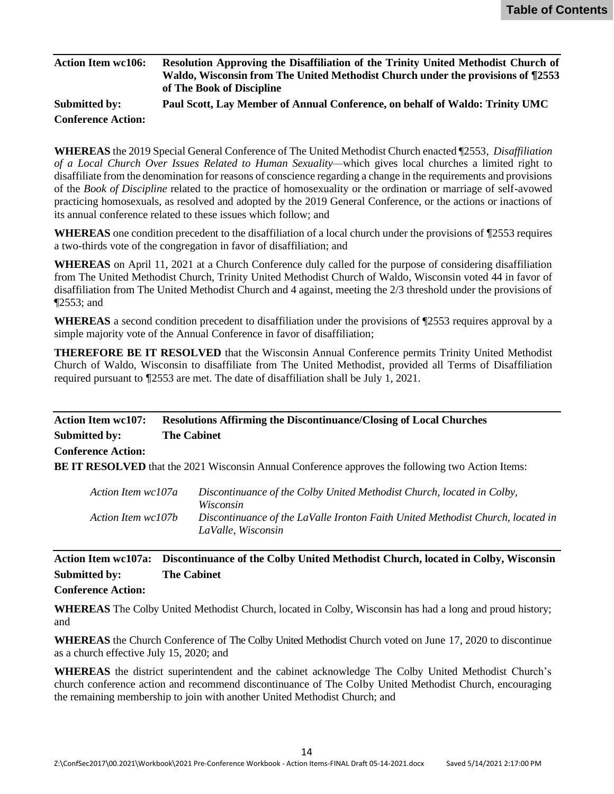<span id="page-13-0"></span>

| <b>Action Item wc106:</b> | Resolution Approving the Disaffiliation of the Trinity United Methodist Church of<br>Waldo, Wisconsin from The United Methodist Church under the provisions of ¶2553<br>of The Book of Discipline |
|---------------------------|---------------------------------------------------------------------------------------------------------------------------------------------------------------------------------------------------|
| <b>Submitted by:</b>      | Paul Scott, Lay Member of Annual Conference, on behalf of Waldo: Trinity UMC                                                                                                                      |
| <b>Conference Action:</b> |                                                                                                                                                                                                   |

**WHEREAS** the 2019 Special General Conference of The United Methodist Church enacted ¶2553, *Disaffiliation of a Local Church Over Issues Related to Human Sexuality—*which gives local churches a limited right to disaffiliate from the denomination for reasons of conscience regarding a change in the requirements and provisions of the *Book of Discipline* related to the practice of homosexuality or the ordination or marriage of self-avowed practicing homosexuals, as resolved and adopted by the 2019 General Conference, or the actions or inactions of its annual conference related to these issues which follow; and

**WHEREAS** one condition precedent to the disaffiliation of a local church under the provisions of ¶2553 requires a two-thirds vote of the congregation in favor of disaffiliation; and

**WHEREAS** on April 11, 2021 at a Church Conference duly called for the purpose of considering disaffiliation from The United Methodist Church, Trinity United Methodist Church of Waldo, Wisconsin voted 44 in favor of disaffiliation from The United Methodist Church and 4 against, meeting the 2/3 threshold under the provisions of ¶2553; and

**WHEREAS** a second condition precedent to disaffiliation under the provisions of ¶2553 requires approval by a simple majority vote of the Annual Conference in favor of disaffiliation;

**THEREFORE BE IT RESOLVED** that the Wisconsin Annual Conference permits Trinity United Methodist Church of Waldo, Wisconsin to disaffiliate from The United Methodist, provided all Terms of Disaffiliation required pursuant to ¶2553 are met. The date of disaffiliation shall be July 1, 2021.

## **Action Item wc107: Resolutions Affirming the Discontinuance/Closing of Local Churches Submitted by: The Cabinet Conference Action:**

**BE IT RESOLVED** that the 2021 Wisconsin Annual Conference approves the following two Action Items:

| Action Item wc107a | Discontinuance of the Colby United Methodist Church, located in Colby,          |
|--------------------|---------------------------------------------------------------------------------|
|                    | <i>Wisconsin</i>                                                                |
| Action Item wc107b | Discontinuance of the LaValle Ironton Faith United Methodist Church, located in |
|                    | LaValle, Wisconsin                                                              |

## **Action Item wc107a: Discontinuance of the Colby United Methodist Church, located in Colby, Wisconsin Submitted by: The Cabinet**

#### **Conference Action:**

**WHEREAS** The Colby United Methodist Church, located in Colby, Wisconsin has had a long and proud history; and

**WHEREAS** the Church Conference of The Colby United Methodist Church voted on June 17, 2020 to discontinue as a church effective July 15, 2020; and

**WHEREAS** the district superintendent and the cabinet acknowledge The Colby United Methodist Church's church conference action and recommend discontinuance of The Colby United Methodist Church, encouraging the remaining membership to join with another United Methodist Church; and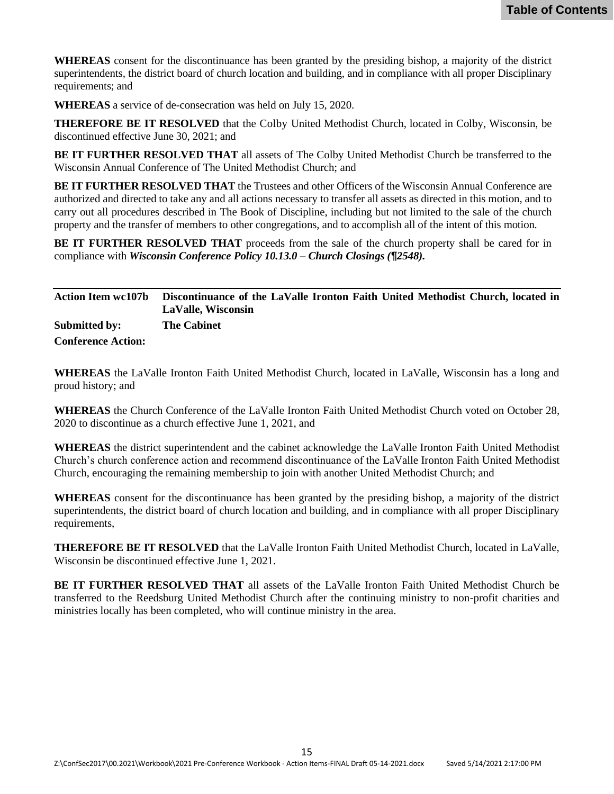<span id="page-14-0"></span>**WHEREAS** consent for the discontinuance has been granted by the presiding bishop, a majority of the district superintendents, the district board of church location and building, and in compliance with all proper Disciplinary requirements; and

**WHEREAS** a service of de-consecration was held on July 15, 2020.

**THEREFORE BE IT RESOLVED** that the Colby United Methodist Church, located in Colby, Wisconsin, be discontinued effective June 30, 2021; and

**BE IT FURTHER RESOLVED THAT** all assets of The Colby United Methodist Church be transferred to the Wisconsin Annual Conference of The United Methodist Church; and

**BE IT FURTHER RESOLVED THAT** the Trustees and other Officers of the Wisconsin Annual Conference are authorized and directed to take any and all actions necessary to transfer all assets as directed in this motion, and to carry out all procedures described in The Book of Discipline, including but not limited to the sale of the church property and the transfer of members to other congregations, and to accomplish all of the intent of this motion.

**BE IT FURTHER RESOLVED THAT** proceeds from the sale of the church property shall be cared for in compliance with *Wisconsin Conference Policy 10.13.0 – Church Closings (¶2548).*

|                           | Action Item wc107b Discontinuance of the LaValle Ironton Faith United Methodist Church, located in<br>LaValle, Wisconsin |
|---------------------------|--------------------------------------------------------------------------------------------------------------------------|
| Submitted by:             | <b>The Cabinet</b>                                                                                                       |
| <b>Conference Action:</b> |                                                                                                                          |

**WHEREAS** the LaValle Ironton Faith United Methodist Church, located in LaValle, Wisconsin has a long and proud history; and

**WHEREAS** the Church Conference of the LaValle Ironton Faith United Methodist Church voted on October 28, 2020 to discontinue as a church effective June 1, 2021, and

**WHEREAS** the district superintendent and the cabinet acknowledge the LaValle Ironton Faith United Methodist Church's church conference action and recommend discontinuance of the LaValle Ironton Faith United Methodist Church, encouraging the remaining membership to join with another United Methodist Church; and

**WHEREAS** consent for the discontinuance has been granted by the presiding bishop, a majority of the district superintendents, the district board of church location and building, and in compliance with all proper Disciplinary requirements,

**THEREFORE BE IT RESOLVED** that the LaValle Ironton Faith United Methodist Church, located in LaValle, Wisconsin be discontinued effective June 1, 2021.

**BE IT FURTHER RESOLVED THAT** all assets of the LaValle Ironton Faith United Methodist Church be transferred to the Reedsburg United Methodist Church after the continuing ministry to non-profit charities and ministries locally has been completed, who will continue ministry in the area.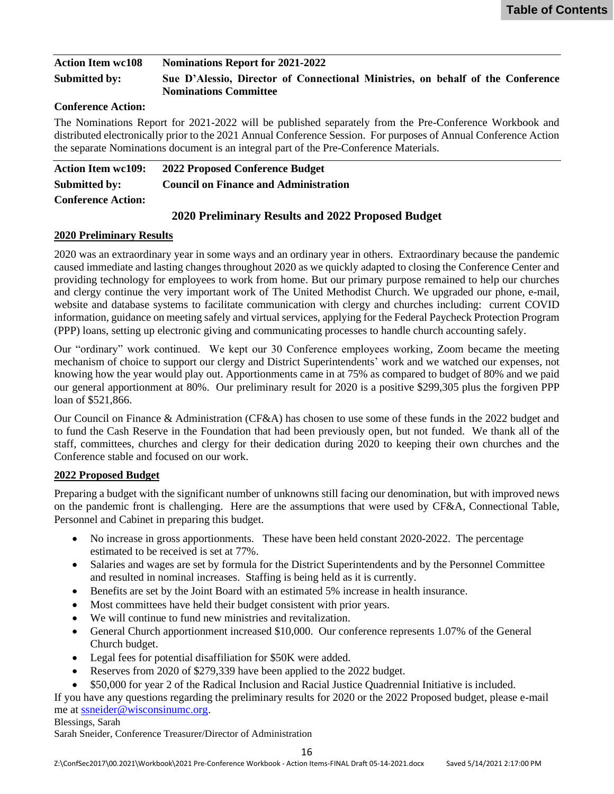<span id="page-15-0"></span>

| <b>Action Item wc108</b> | <b>Nominations Report for 2021-2022</b>                                                                         |
|--------------------------|-----------------------------------------------------------------------------------------------------------------|
| Submitted by:            | Sue D'Alessio, Director of Connectional Ministries, on behalf of the Conference<br><b>Nominations Committee</b> |

#### **Conference Action:**

The Nominations Report for 2021-2022 will be published separately from the Pre-Conference Workbook and distributed electronically prior to the 2021 Annual Conference Session. For purposes of Annual Conference Action the separate Nominations document is an integral part of the Pre-Conference Materials.

| <b>Action Item wc109:</b> | 2022 Proposed Conference Budget              |
|---------------------------|----------------------------------------------|
| Submitted by:             | <b>Council on Finance and Administration</b> |
| <b>Conference Action:</b> |                                              |

### **2020 Preliminary Results and 2022 Proposed Budget**

#### **2020 Preliminary Results**

2020 was an extraordinary year in some ways and an ordinary year in others. Extraordinary because the pandemic caused immediate and lasting changes throughout 2020 as we quickly adapted to closing the Conference Center and providing technology for employees to work from home. But our primary purpose remained to help our churches and clergy continue the very important work of The United Methodist Church. We upgraded our phone, e-mail, website and database systems to facilitate communication with clergy and churches including: current COVID information, guidance on meeting safely and virtual services, applying for the Federal Paycheck Protection Program (PPP) loans, setting up electronic giving and communicating processes to handle church accounting safely.

Our "ordinary" work continued. We kept our 30 Conference employees working, Zoom became the meeting mechanism of choice to support our clergy and District Superintendents' work and we watched our expenses, not knowing how the year would play out. Apportionments came in at 75% as compared to budget of 80% and we paid our general apportionment at 80%. Our preliminary result for 2020 is a positive \$299,305 plus the forgiven PPP loan of \$521,866.

Our Council on Finance & Administration (CF&A) has chosen to use some of these funds in the 2022 budget and to fund the Cash Reserve in the Foundation that had been previously open, but not funded. We thank all of the staff, committees, churches and clergy for their dedication during 2020 to keeping their own churches and the Conference stable and focused on our work.

#### **2022 Proposed Budget**

Preparing a budget with the significant number of unknowns still facing our denomination, but with improved news on the pandemic front is challenging. Here are the assumptions that were used by CF&A, Connectional Table, Personnel and Cabinet in preparing this budget.

- No increase in gross apportionments. These have been held constant 2020-2022. The percentage estimated to be received is set at 77%.
- Salaries and wages are set by formula for the District Superintendents and by the Personnel Committee and resulted in nominal increases. Staffing is being held as it is currently.
- Benefits are set by the Joint Board with an estimated 5% increase in health insurance.
- Most committees have held their budget consistent with prior years.
- We will continue to fund new ministries and revitalization.
- General Church apportionment increased \$10,000. Our conference represents 1.07% of the General Church budget.
- Legal fees for potential disaffiliation for \$50K were added.
- Reserves from 2020 of \$279,339 have been applied to the 2022 budget.
- \$50,000 for year 2 of the Radical Inclusion and Racial Justice Quadrennial Initiative is included.

If you have any questions regarding the preliminary results for 2020 or the 2022 Proposed budget, please e-mail me at [ssneider@wisconsinumc.org.](mailto:ssneider@wisconsinumc.org)

Blessings, Sarah

Sarah Sneider, Conference Treasurer/Director of Administration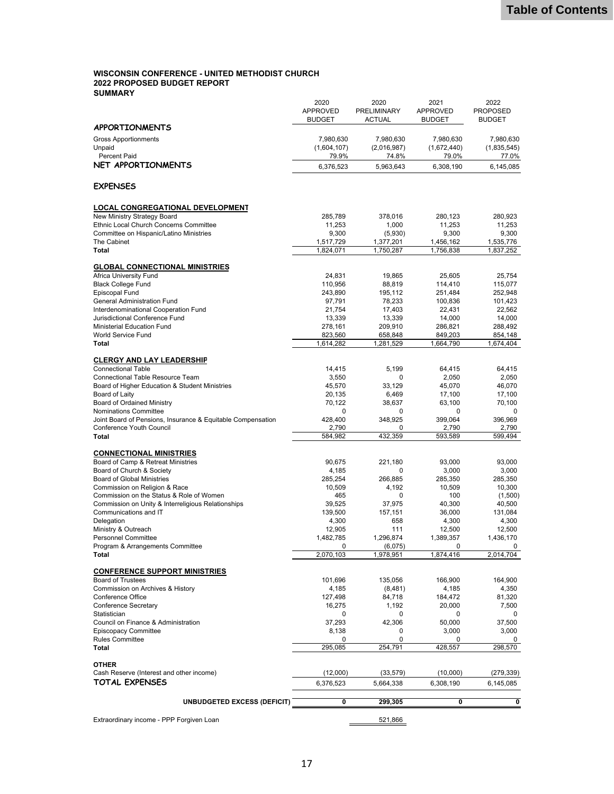#### **WISCONSIN CONFERENCE - UNITED METHODIST CHURCH 2022 PROPOSED BUDGET REPORT SUMMARY**

| Extraordinary income - PPP Forgiven Loan                                                       |                                  | 521,866                             |                                  |                                  |
|------------------------------------------------------------------------------------------------|----------------------------------|-------------------------------------|----------------------------------|----------------------------------|
| <b>UNBUDGETED EXCESS (DEFICIT)</b>                                                             | 0                                | 299,305                             | 0                                | 0                                |
|                                                                                                |                                  |                                     |                                  |                                  |
| TOTAL EXPENSES                                                                                 | 6,376,523                        | 5,664,338                           | 6,308,190                        | 6,145,085                        |
| <b>OTHER</b><br>Cash Reserve (Interest and other income)                                       | (12,000)                         | (33, 579)                           | (10,000)                         | (279, 339)                       |
|                                                                                                |                                  |                                     |                                  |                                  |
| Total                                                                                          | 295,085                          | 254,791                             | 428,557                          | 298,570                          |
| <b>Episcopacy Committee</b><br><b>Rules Committee</b>                                          | 8,138<br>0                       | 0<br>$\mathbf 0$                    | 3,000<br>0                       | 3,000<br>0                       |
| Council on Finance & Administration                                                            | 37,293                           | 42,306                              | 50,000                           | 37,500                           |
| Statistician                                                                                   | 0                                | 0                                   | 0                                | 0                                |
| Conference Secretary                                                                           | 16,275                           | 1,192                               | 20,000                           | 7,500                            |
| Commission on Archives & History<br>Conference Office                                          | 4,185<br>127,498                 | (8,481)<br>84,718                   | 4,185<br>184,472                 | 4,350<br>81,320                  |
| <b>Board of Trustees</b>                                                                       | 101,696                          | 135,056                             | 166,900                          | 164,900                          |
| <b>CONFERENCE SUPPORT MINISTRIES</b>                                                           |                                  |                                     |                                  |                                  |
|                                                                                                |                                  |                                     |                                  |                                  |
| Program & Arrangements Committee<br>Total                                                      | 0<br>2,070,103                   | (6,075)<br>1,978,951                | 0<br>1,874,416                   | 0<br>2,014,704                   |
| <b>Personnel Committee</b>                                                                     | 1,482,785                        | 1,296,874                           | 1,389,357                        | 1,436,170                        |
| Ministry & Outreach                                                                            | 12,905                           | 111                                 | 12,500                           | 12,500                           |
| Delegation                                                                                     | 4,300                            | 658                                 | 4,300                            | 4,300                            |
| Communications and IT                                                                          | 139,500                          | 157,151                             | 36,000                           | 131,084                          |
| Commission on the Status & Role of Women<br>Commission on Unity & Interreligious Relationships | 465<br>39,525                    | 0<br>37,975                         | 100<br>40,300                    | (1,500)<br>40,500                |
| Commission on Religion & Race                                                                  | 10,509                           | 4,192                               | 10,509                           | 10,300                           |
| <b>Board of Global Ministries</b>                                                              | 285,254                          | 266,885                             | 285,350                          | 285,350                          |
| Board of Church & Society                                                                      | 4,185                            | 0                                   | 3,000                            | 3,000                            |
| Board of Camp & Retreat Ministries                                                             | 90,675                           | 221,180                             | 93,000                           | 93,000                           |
| <b>CONNECTIONAL MINISTRIES</b>                                                                 |                                  |                                     |                                  |                                  |
| Total                                                                                          | 584,982                          | 432,359                             | 593,589                          | 599,494                          |
| <b>Conference Youth Council</b>                                                                | 2,790                            | 0                                   | 2,790                            | 2,790                            |
| Joint Board of Pensions, Insurance & Equitable Compensation                                    | 428,400                          | 348,925                             | 399,064                          | 396,969                          |
| <b>Nominations Committee</b>                                                                   | 0                                | $\mathbf 0$                         | 0                                | 0                                |
| Board of Laity<br><b>Board of Ordained Ministry</b>                                            | 20,135<br>70,122                 | 6,469<br>38,637                     | 17,100<br>63,100                 | 17,100<br>70,100                 |
| Board of Higher Education & Student Ministries                                                 | 45,570                           | 33,129                              | 45,070                           | 46,070                           |
| Connectional Table Resource Team                                                               | 3,550                            | $\mathbf 0$                         | 2,050                            | 2,050                            |
| <b>Connectional Table</b>                                                                      | 14,415                           | 5.199                               | 64,415                           | 64,415                           |
| <b>CLERGY AND LAY LEADERSHIP</b>                                                               |                                  |                                     |                                  |                                  |
|                                                                                                | 1,614,282                        | 1,281,529                           | 1,664,790                        | 1,674,404                        |
| <b>World Service Fund</b><br>Total                                                             | 823,560                          | 658,848                             | 849,203                          | 854,148                          |
| Ministerial Education Fund                                                                     | 278,161                          | 209,910                             | 286,821                          | 288,492                          |
| Jurisdictional Conference Fund                                                                 | 13,339                           | 13,339                              | 14,000                           | 14,000                           |
| Interdenominational Cooperation Fund                                                           | 97,791<br>21,754                 | 78,233<br>17,403                    | 100,836<br>22,431                | 101,423<br>22,562                |
| <b>Episcopal Fund</b><br><b>General Administration Fund</b>                                    | 243,890                          | 195,112                             | 251,484                          | 252,948                          |
| <b>Black College Fund</b>                                                                      | 110,956                          | 88,819                              | 114,410                          | 115,077                          |
| Africa University Fund                                                                         | 24,831                           | 19,865                              | 25,605                           | 25,754                           |
| <b>GLOBAL CONNECTIONAL MINISTRIES</b>                                                          |                                  |                                     |                                  |                                  |
| <b>Total</b>                                                                                   | 1,824,071                        | 1,750,287                           | 1,756,838                        | 1,837,252                        |
| The Cabinet                                                                                    | 1,517,729                        | 1,377,201                           | 1,456,162                        | 1,535,776                        |
| Committee on Hispanic/Latino Ministries                                                        | 9,300                            | (5,930)                             | 9,300                            | 9,300                            |
| Ethnic Local Church Concerns Committee                                                         | 11,253                           | 1,000                               | 11,253                           | 11,253                           |
| New Ministry Strategy Board                                                                    | 285.789                          | 378,016                             | 280,123                          | 280,923                          |
| <b>LOCAL CONGREGATIONAL DEVELOPMENT</b>                                                        |                                  |                                     |                                  |                                  |
| <b>EXPENSES</b>                                                                                |                                  |                                     |                                  |                                  |
|                                                                                                |                                  |                                     |                                  |                                  |
| <b>NET APPORTIONMENTS</b>                                                                      | 6,376,523                        | 5,963,643                           | 6,308,190                        | 6,145,085                        |
| Percent Paid                                                                                   | 79.9%                            | 74.8%                               | 79.0%                            | 77.0%                            |
| Unpaid                                                                                         | (1,604,107)                      | (2,016,987)                         | (1,672,440)                      | (1,835,545)                      |
| <b>Gross Apportionments</b>                                                                    | 7,980,630                        | 7,980,630                           | 7,980,630                        | 7,980,630                        |
| <b>APPORTIONMENTS</b>                                                                          |                                  |                                     |                                  |                                  |
|                                                                                                | <b>APPROVED</b><br><b>BUDGET</b> | <b>PRELIMINARY</b><br><b>ACTUAL</b> | <b>APPROVED</b><br><b>BUDGET</b> | <b>PROPOSED</b><br><b>BUDGET</b> |
|                                                                                                | 2020                             | 2020                                | 2021                             | 2022                             |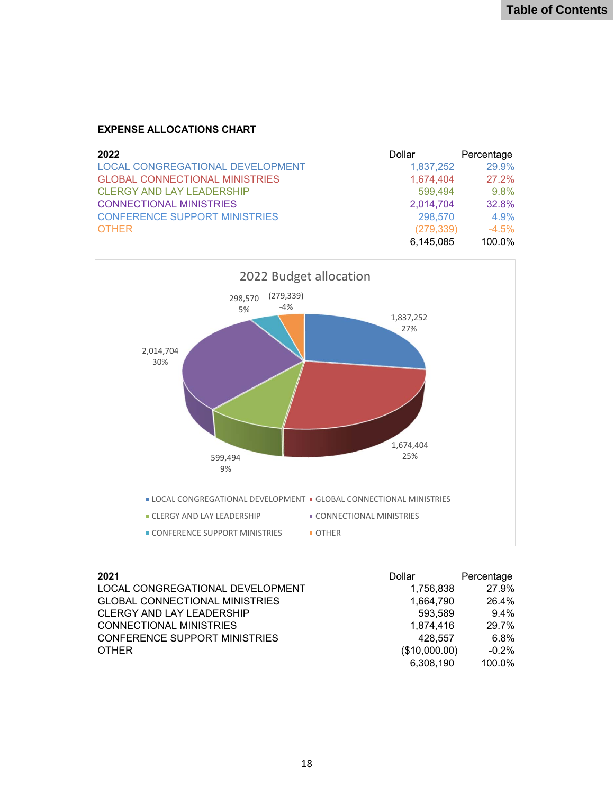### **EXPENSE ALLOCATIONS CHART**

| 2022                                    | Dollar     | Percentage |
|-----------------------------------------|------------|------------|
| <b>LOCAL CONGREGATIONAL DEVELOPMENT</b> | 1,837,252  | 29.9%      |
| <b>GLOBAL CONNECTIONAL MINISTRIES</b>   | 1.674.404  | 27.2%      |
| <b>CLERGY AND LAY LEADERSHIP</b>        | 599,494    | $9.8\%$    |
| <b>CONNECTIONAL MINISTRIES</b>          | 2,014,704  | 32.8%      |
| <b>CONFERENCE SUPPORT MINISTRIES</b>    | 298,570    | $4.9\%$    |
| <b>OTHER</b>                            | (279, 339) | $-4.5%$    |
|                                         | 6,145,085  | 100.0%     |



| - 1<br>۰. |
|-----------|
|-----------|

| 2021                                  | Dollar        | Percentage |
|---------------------------------------|---------------|------------|
| LOCAL CONGREGATIONAL DEVELOPMENT      | 1,756,838     | 27.9%      |
| <b>GLOBAL CONNECTIONAL MINISTRIES</b> | 1.664.790     | 26.4%      |
| <b>CLERGY AND LAY LEADERSHIP</b>      | 593.589       | $9.4\%$    |
| CONNECTIONAL MINISTRIES               | 1,874,416     | 29.7%      |
| CONFERENCE SUPPORT MINISTRIES         | 428.557       | 6.8%       |
| <b>OTHER</b>                          | (\$10,000.00) | $-0.2\%$   |
|                                       | 6,308,190     | 100.0%     |
|                                       |               |            |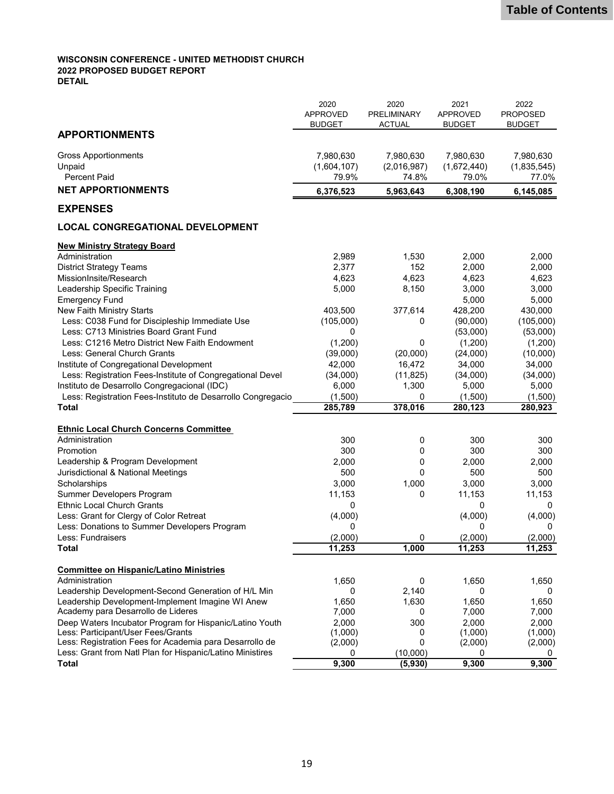#### **WISCONSIN CONFERENCE - UNITED METHODIST CHURCH 2022 PROPOSED BUDGET REPORT DETAIL**

|                                                                               | 2020<br><b>APPROVED</b><br><b>BUDGET</b> | 2020<br><b>PRELIMINARY</b><br><b>ACTUAL</b> | 2021<br><b>APPROVED</b><br>BUDGET | 2022<br><b>PROPOSED</b><br><b>BUDGET</b> |
|-------------------------------------------------------------------------------|------------------------------------------|---------------------------------------------|-----------------------------------|------------------------------------------|
| <b>APPORTIONMENTS</b>                                                         |                                          |                                             |                                   |                                          |
| <b>Gross Apportionments</b>                                                   | 7,980,630                                | 7,980,630                                   | 7,980,630                         | 7,980,630                                |
| Unpaid                                                                        | (1,604,107)                              | (2,016,987)                                 | (1,672,440)                       | (1,835,545)                              |
| <b>Percent Paid</b>                                                           | 79.9%                                    | 74.8%                                       | 79.0%                             | 77.0%                                    |
| <b>NET APPORTIONMENTS</b>                                                     | 6,376,523                                | 5,963,643                                   | 6,308,190                         | 6,145,085                                |
| <b>EXPENSES</b>                                                               |                                          |                                             |                                   |                                          |
| <b>LOCAL CONGREGATIONAL DEVELOPMENT</b>                                       |                                          |                                             |                                   |                                          |
| <b>New Ministry Strategy Board</b>                                            |                                          |                                             |                                   |                                          |
| Administration                                                                | 2,989                                    | 1,530                                       | 2,000                             | 2,000                                    |
| <b>District Strategy Teams</b>                                                | 2,377                                    | 152                                         | 2,000                             | 2,000                                    |
| MissionInsite/Research                                                        | 4,623                                    | 4,623                                       | 4,623                             | 4,623                                    |
| Leadership Specific Training                                                  | 5,000                                    | 8,150                                       | 3,000                             | 3,000                                    |
| <b>Emergency Fund</b>                                                         |                                          |                                             | 5,000                             | 5,000                                    |
| New Faith Ministry Starts                                                     | 403,500                                  | 377,614                                     | 428,200                           | 430,000                                  |
| Less: C038 Fund for Discipleship Immediate Use                                | (105,000)                                | 0                                           | (90,000)                          | (105,000)                                |
| Less: C713 Ministries Board Grant Fund                                        | 0                                        |                                             | (53,000)                          | (53,000)                                 |
| Less: C1216 Metro District New Faith Endowment<br>Less: General Church Grants | (1,200)                                  | 0<br>(20,000)                               | (1,200)                           | (1,200)                                  |
| Institute of Congregational Development                                       | (39,000)<br>42,000                       | 16,472                                      | (24,000)<br>34,000                | (10,000)<br>34,000                       |
| Less: Registration Fees-Institute of Congregational Devel                     |                                          |                                             |                                   |                                          |
| Instituto de Desarrollo Congregacional (IDC)                                  | (34,000)<br>6,000                        | (11, 825)<br>1,300                          | (34,000)<br>5,000                 | (34,000)<br>5,000                        |
| Less: Registration Fees-Instituto de Desarrollo Congregacio                   | (1,500)                                  | 0                                           | (1,500)                           | (1,500)                                  |
| <b>Total</b>                                                                  | 285,789                                  | 378,016                                     | 280,123                           | 280,923                                  |
|                                                                               |                                          |                                             |                                   |                                          |
| <b>Ethnic Local Church Concerns Committee</b>                                 |                                          |                                             |                                   |                                          |
| Administration                                                                | 300                                      | 0                                           | 300                               | 300                                      |
| Promotion                                                                     | 300                                      | 0                                           | 300                               | 300                                      |
| Leadership & Program Development                                              | 2,000                                    | 0                                           | 2,000                             | 2,000                                    |
| Jurisdictional & National Meetings                                            | 500                                      | 0                                           | 500                               | 500                                      |
| Scholarships                                                                  | 3,000                                    | 1,000                                       | 3,000                             | 3,000                                    |
| Summer Developers Program                                                     | 11,153                                   | 0                                           | 11,153                            | 11,153                                   |
| <b>Ethnic Local Church Grants</b>                                             | 0                                        |                                             | 0                                 | 0                                        |
| Less: Grant for Clergy of Color Retreat                                       | (4,000)                                  |                                             | (4,000)                           | (4,000)                                  |
| Less: Donations to Summer Developers Program                                  | 0                                        |                                             | 0                                 | 0                                        |
| Less: Fundraisers                                                             | (2,000)                                  | 0                                           | (2,000)                           | (2,000)                                  |
| <b>Total</b>                                                                  | 11,253                                   | 1,000                                       | 11,253                            | 11,253                                   |
| <b>Committee on Hispanic/Latino Ministries</b>                                |                                          |                                             |                                   |                                          |
| Administration                                                                | 1,650                                    | 0                                           | 1,650                             | 1,650                                    |
| Leadership Development-Second Generation of H/L Min                           | 0                                        | 2,140                                       | 0                                 | 0                                        |
| Leadership Development-Implement Imagine WI Anew                              | 1,650                                    | 1,630                                       | 1,650                             | 1,650                                    |
| Academy para Desarrollo de Lideres                                            | 7,000                                    | 0                                           | 7,000                             | 7,000                                    |
| Deep Waters Incubator Program for Hispanic/Latino Youth                       | 2,000                                    | 300                                         | 2,000                             | 2,000                                    |
| Less: Participant/User Fees/Grants                                            | (1,000)                                  | 0                                           | (1,000)                           | (1,000)                                  |
| Less: Registration Fees for Academia para Desarrollo de                       | (2,000)                                  | 0                                           | (2,000)                           | (2,000)                                  |
| Less: Grant from Natl Plan for Hispanic/Latino Ministires                     | 0                                        | (10,000)                                    | 0                                 |                                          |
| <b>Total</b>                                                                  | 9,300                                    | (5,930)                                     | 9,300                             | 9,300                                    |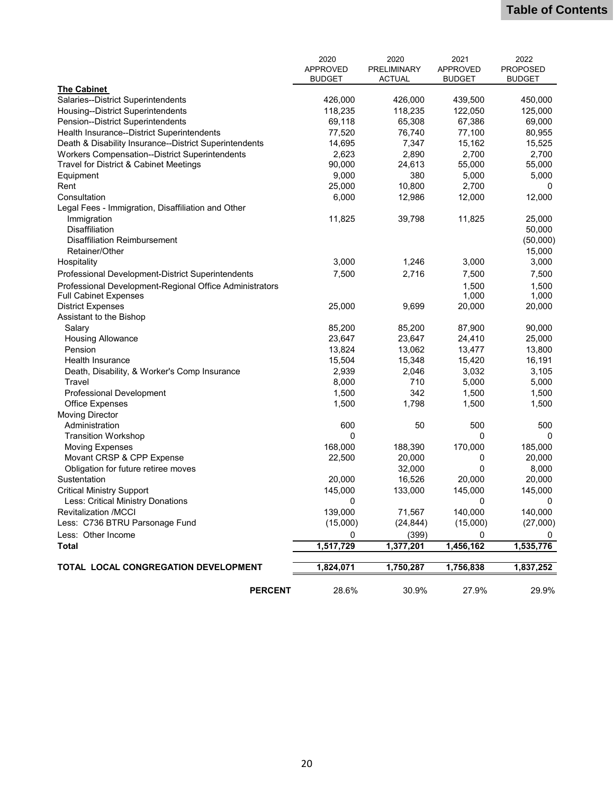|                                                         | 2020            | 2020          | 2021            | 2022            |
|---------------------------------------------------------|-----------------|---------------|-----------------|-----------------|
|                                                         | <b>APPROVED</b> | PRELIMINARY   | <b>APPROVED</b> | <b>PROPOSED</b> |
| The Cabinet                                             | <b>BUDGET</b>   | <b>ACTUAL</b> | <b>BUDGET</b>   | <b>BUDGET</b>   |
| Salaries--District Superintendents                      | 426,000         | 426,000       | 439,500         | 450,000         |
| Housing--District Superintendents                       | 118,235         | 118,235       | 122,050         | 125,000         |
| Pension--District Superintendents                       | 69,118          | 65,308        | 67,386          | 69,000          |
| Health Insurance--District Superintendents              | 77,520          | 76,740        | 77,100          | 80,955          |
| Death & Disability Insurance--District Superintendents  | 14,695          | 7,347         | 15,162          | 15,525          |
| Workers Compensation--District Superintendents          | 2,623           | 2,890         | 2,700           | 2,700           |
| Travel for District & Cabinet Meetings                  | 90,000          | 24,613        | 55,000          | 55,000          |
| Equipment                                               | 9,000           | 380           | 5,000           | 5,000           |
| Rent                                                    | 25,000          | 10,800        | 2,700           | 0               |
| Consultation                                            | 6,000           | 12,986        | 12,000          | 12,000          |
| Legal Fees - Immigration, Disaffiliation and Other      |                 |               |                 |                 |
| Immigration                                             | 11,825          | 39,798        | 11,825          | 25,000          |
| <b>Disaffiliation</b>                                   |                 |               |                 | 50,000          |
| <b>Disaffiliation Reimbursement</b>                     |                 |               |                 | (50,000)        |
| Retainer/Other                                          |                 |               |                 | 15,000          |
| Hospitality                                             | 3,000           | 1,246         | 3,000           | 3,000           |
| Professional Development-District Superintendents       | 7,500           | 2,716         | 7,500           | 7,500           |
| Professional Development-Regional Office Administrators |                 |               | 1,500           | 1,500           |
| <b>Full Cabinet Expenses</b>                            |                 |               | 1,000           | 1,000           |
| <b>District Expenses</b>                                | 25,000          | 9,699         | 20,000          | 20,000          |
| Assistant to the Bishop                                 |                 |               |                 |                 |
| Salary                                                  | 85,200          | 85,200        | 87,900          | 90,000          |
| <b>Housing Allowance</b>                                | 23,647          | 23,647        | 24,410          | 25,000          |
| Pension                                                 | 13,824          | 13,062        | 13,477          | 13,800          |
| Health Insurance                                        | 15,504          | 15,348        | 15,420          | 16,191          |
| Death, Disability, & Worker's Comp Insurance            | 2,939           | 2,046         | 3,032           | 3,105           |
| Travel                                                  | 8,000           | 710           | 5,000           | 5,000           |
| <b>Professional Development</b>                         | 1,500           | 342           | 1,500           | 1,500           |
| <b>Office Expenses</b>                                  | 1,500           | 1,798         | 1,500           | 1,500           |
| <b>Moving Director</b>                                  |                 |               |                 |                 |
| Administration                                          | 600             | 50            | 500             | 500             |
| <b>Transition Workshop</b>                              | 0               |               | 0               | 0               |
| <b>Moving Expenses</b>                                  | 168,000         | 188,390       | 170,000         | 185,000         |
| Movant CRSP & CPP Expense                               | 22,500          | 20,000        | 0               | 20,000          |
| Obligation for future retiree moves                     |                 | 32,000        | 0               | 8,000           |
| Sustentation                                            | 20,000          | 16,526        | 20,000          | 20,000          |
| <b>Critical Ministry Support</b>                        | 145,000         | 133,000       | 145,000         | 145,000         |
| Less: Critical Ministry Donations                       | 0               |               | 0               | 0               |
| <b>Revitalization /MCCI</b>                             | 139,000         | 71,567        | 140,000         | 140,000         |
| Less: C736 BTRU Parsonage Fund                          | (15,000)        | (24, 844)     | (15,000)        | (27,000)        |
| Less: Other Income                                      | 0               | (399)         | 0               | 0               |
| <b>Total</b>                                            | 1,517,729       | 1,377,201     | 1,456,162       | 1,535,776       |
|                                                         |                 |               |                 |                 |
| TOTAL LOCAL CONGREGATION DEVELOPMENT                    | 1,824,071       | 1,750,287     | 1,756,838       | 1,837,252       |
| <b>PERCENT</b>                                          | 28.6%           | 30.9%         | 27.9%           | 29.9%           |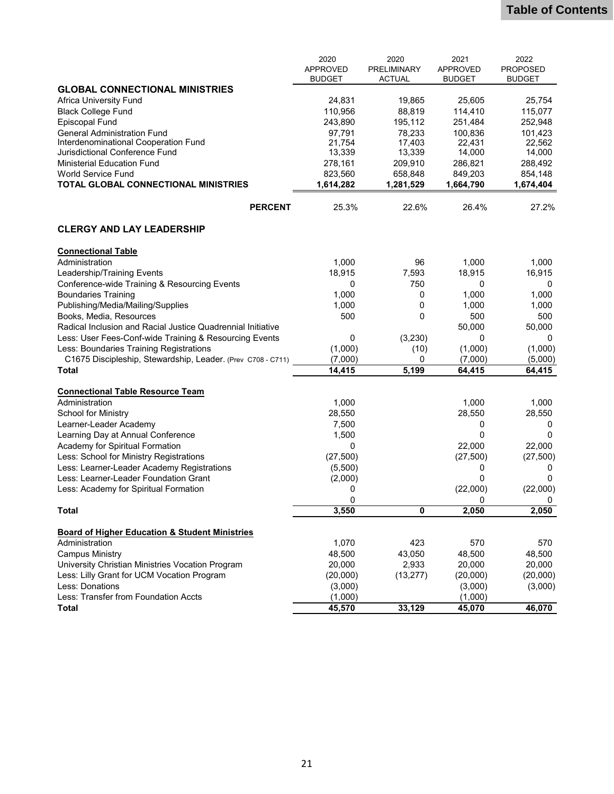|                                                                             | 2020            | 2020               | 2021            | 2022            |
|-----------------------------------------------------------------------------|-----------------|--------------------|-----------------|-----------------|
|                                                                             | <b>APPROVED</b> | <b>PRELIMINARY</b> | <b>APPROVED</b> | <b>PROPOSED</b> |
|                                                                             | <b>BUDGET</b>   | <b>ACTUAL</b>      | <b>BUDGET</b>   | <b>BUDGET</b>   |
| <b>GLOBAL CONNECTIONAL MINISTRIES</b>                                       |                 |                    |                 |                 |
| Africa University Fund                                                      | 24,831          | 19,865             | 25,605          | 25,754          |
| <b>Black College Fund</b>                                                   | 110,956         | 88,819             | 114,410         | 115,077         |
| <b>Episcopal Fund</b>                                                       | 243,890         | 195,112            | 251,484         | 252,948         |
| <b>General Administration Fund</b>                                          | 97,791          | 78,233             | 100,836         | 101,423         |
| Interdenominational Cooperation Fund                                        | 21,754          | 17,403             | 22,431          | 22,562          |
| Jurisdictional Conference Fund                                              | 13,339          | 13,339             | 14,000          | 14,000          |
| <b>Ministerial Education Fund</b>                                           | 278,161         | 209,910            | 286,821         | 288,492         |
| <b>World Service Fund</b>                                                   | 823,560         | 658,848            | 849,203         | 854,148         |
| TOTAL GLOBAL CONNECTIONAL MINISTRIES                                        | 1,614,282       | 1,281,529          | 1,664,790       | 1,674,404       |
| <b>PERCENT</b>                                                              | 25.3%           | 22.6%              | 26.4%           | 27.2%           |
| <b>CLERGY AND LAY LEADERSHIP</b>                                            |                 |                    |                 |                 |
|                                                                             |                 |                    |                 |                 |
| <b>Connectional Table</b>                                                   |                 |                    |                 |                 |
| Administration                                                              | 1,000           | 96                 | 1,000           | 1,000           |
| Leadership/Training Events                                                  | 18,915          | 7,593              | 18,915          | 16,915          |
| Conference-wide Training & Resourcing Events                                | 0               | 750                | 0               | 0               |
| <b>Boundaries Training</b>                                                  | 1,000           | 0                  | 1,000           | 1,000           |
| Publishing/Media/Mailing/Supplies                                           | 1,000           | 0                  | 1,000           | 1,000           |
| Books, Media, Resources                                                     | 500             | 0                  | 500             | 500             |
| Radical Inclusion and Racial Justice Quadrennial Initiative                 |                 |                    | 50,000          | 50,000          |
| Less: User Fees-Conf-wide Training & Resourcing Events                      | 0               | (3,230)            | 0               | 0               |
| Less: Boundaries Training Registrations                                     | (1,000)         | (10)               | (1,000)         | (1,000)         |
| C1675 Discipleship, Stewardship, Leader. (Prev C708 - C711)                 | (7,000)         | 0                  | (7,000)         | (5,000)         |
| <b>Total</b>                                                                | 14,415          | 5,199              | 64,415          | 64,415          |
|                                                                             |                 |                    |                 |                 |
| <b>Connectional Table Resource Team</b>                                     |                 |                    |                 |                 |
| Administration                                                              | 1,000           |                    | 1,000           | 1,000           |
| <b>School for Ministry</b>                                                  | 28,550          |                    | 28,550          | 28,550          |
| Learner-Leader Academy                                                      | 7,500           |                    | 0               | 0               |
| Learning Day at Annual Conference                                           | 1,500           |                    | 0               | 0               |
| Academy for Spiritual Formation                                             | 0               |                    | 22,000          | 22,000          |
| Less: School for Ministry Registrations                                     | (27, 500)       |                    | (27, 500)       | (27, 500)       |
| Less: Learner-Leader Academy Registrations                                  | (5,500)         |                    | 0               | 0               |
| Less: Learner-Leader Foundation Grant                                       | (2,000)         |                    | 0               | 0               |
| Less: Academy for Spiritual Formation                                       | 0               |                    | (22,000)        | (22,000)        |
|                                                                             | 0               |                    | 0               | 0               |
| <b>Total</b>                                                                | 3,550           | 0                  | 2,050           | 2,050           |
|                                                                             |                 |                    |                 |                 |
| <b>Board of Higher Education &amp; Student Ministries</b><br>Administration | 1,070           | 423                | 570             | 570             |
| <b>Campus Ministry</b>                                                      | 48,500          | 43,050             | 48,500          | 48,500          |
| University Christian Ministries Vocation Program                            | 20,000          | 2,933              | 20,000          | 20,000          |
| Less: Lilly Grant for UCM Vocation Program                                  | (20,000)        | (13, 277)          | (20,000)        | (20,000)        |
| Less: Donations                                                             | (3,000)         |                    | (3,000)         | (3,000)         |
| Less: Transfer from Foundation Accts                                        | (1,000)         |                    | (1,000)         |                 |
| <b>Total</b>                                                                | 45,570          | 33,129             | 45,070          | 46,070          |
|                                                                             |                 |                    |                 |                 |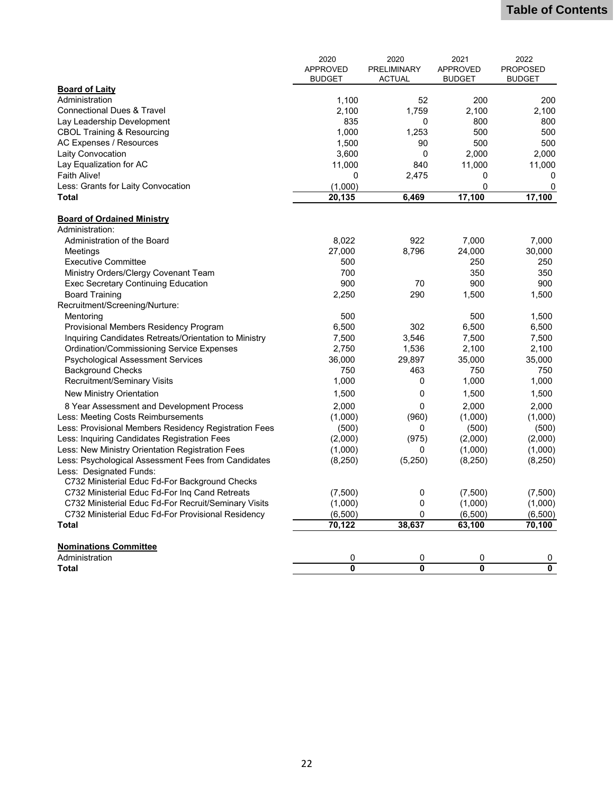|                                                       | 2020                    | 2020          | 2021                    | 2022                    |
|-------------------------------------------------------|-------------------------|---------------|-------------------------|-------------------------|
|                                                       | <b>APPROVED</b>         | PRELIMINARY   | <b>APPROVED</b>         | <b>PROPOSED</b>         |
|                                                       | <b>BUDGET</b>           | <b>ACTUAL</b> | <b>BUDGET</b>           | <b>BUDGET</b>           |
| <b>Board of Laity</b>                                 |                         |               |                         |                         |
| Administration                                        | 1,100                   | 52            | 200                     | 200                     |
| <b>Connectional Dues &amp; Travel</b>                 | 2,100                   | 1,759         | 2,100                   | 2,100                   |
| Lay Leadership Development                            | 835                     | 0             | 800                     | 800                     |
| <b>CBOL Training &amp; Resourcing</b>                 | 1,000                   | 1.253         | 500                     | 500                     |
| AC Expenses / Resources                               | 1,500                   | 90            | 500                     | 500                     |
| Laity Convocation                                     | 3,600                   | 0             | 2,000                   | 2.000                   |
| Lay Equalization for AC                               | 11,000                  | 840           | 11,000                  | 11,000                  |
| Faith Alive!                                          | $\mathbf 0$             | 2,475         | 0                       | 0                       |
| Less: Grants for Laity Convocation                    | (1,000)                 |               | 0                       | 0                       |
| <b>Total</b>                                          | 20,135                  | 6,469         | 17,100                  | 17,100                  |
| <b>Board of Ordained Ministry</b>                     |                         |               |                         |                         |
| Administration:                                       |                         |               |                         |                         |
| Administration of the Board                           | 8,022                   | 922           | 7.000                   | 7,000                   |
| Meetings                                              | 27,000                  | 8,796         | 24,000                  | 30,000                  |
| <b>Executive Committee</b>                            | 500                     |               | 250                     | 250                     |
| Ministry Orders/Clergy Covenant Team                  | 700                     |               | 350                     | 350                     |
| <b>Exec Secretary Continuing Education</b>            | 900                     | 70            | 900                     | 900                     |
| <b>Board Training</b>                                 | 2,250                   | 290           | 1,500                   | 1,500                   |
| Recruitment/Screening/Nurture:                        |                         |               |                         |                         |
| Mentoring                                             | 500                     |               | 500                     | 1,500                   |
| Provisional Members Residency Program                 | 6,500                   | 302           | 6,500                   | 6,500                   |
| Inquiring Candidates Retreats/Orientation to Ministry | 7,500                   | 3,546         | 7,500                   | 7,500                   |
| <b>Ordination/Commissioning Service Expenses</b>      | 2,750                   | 1,536         | 2,100                   | 2,100                   |
| <b>Psychological Assessment Services</b>              | 36,000                  | 29,897        | 35,000                  | 35,000                  |
| <b>Background Checks</b>                              | 750                     | 463           | 750                     | 750                     |
| <b>Recruitment/Seminary Visits</b>                    | 1,000                   | 0             | 1,000                   | 1,000                   |
| New Ministry Orientation                              | 1,500                   | 0             | 1,500                   | 1,500                   |
| 8 Year Assessment and Development Process             | 2,000                   | 0             | 2,000                   | 2,000                   |
| Less: Meeting Costs Reimbursements                    | (1,000)                 | (960)         | (1,000)                 | (1,000)                 |
| Less: Provisional Members Residency Registration Fees | (500)                   | 0             | (500)                   | (500)                   |
| Less: Inquiring Candidates Registration Fees          | (2,000)                 | (975)         | (2,000)                 | (2,000)                 |
| Less: New Ministry Orientation Registration Fees      | (1,000)                 | 0             | (1,000)                 | (1,000)                 |
| Less: Psychological Assessment Fees from Candidates   | (8, 250)                | (5,250)       | (8, 250)                | (8, 250)                |
| Less: Designated Funds:                               |                         |               |                         |                         |
| C732 Ministerial Educ Fd-For Background Checks        |                         |               |                         |                         |
| C732 Ministerial Educ Fd-For Inq Cand Retreats        | (7,500)                 | 0             | (7,500)                 | (7,500)                 |
| C732 Ministerial Educ Fd-For Recruit/Seminary Visits  | (1,000)                 | 0             | (1,000)                 | (1,000)                 |
| C732 Ministerial Educ Fd-For Provisional Residency    | (6,500)                 | 0             | (6,500)                 | (6,500)                 |
| Total                                                 | 70,122                  | 38,637        | 63,100                  | 70,100                  |
|                                                       |                         |               |                         |                         |
| <b>Nominations Committee</b>                          |                         |               |                         |                         |
| Administration                                        | 0                       | 0             | 0                       | 0                       |
| <b>Total</b>                                          | $\overline{\mathbf{0}}$ | 0             | $\overline{\mathbf{0}}$ | $\overline{\mathbf{0}}$ |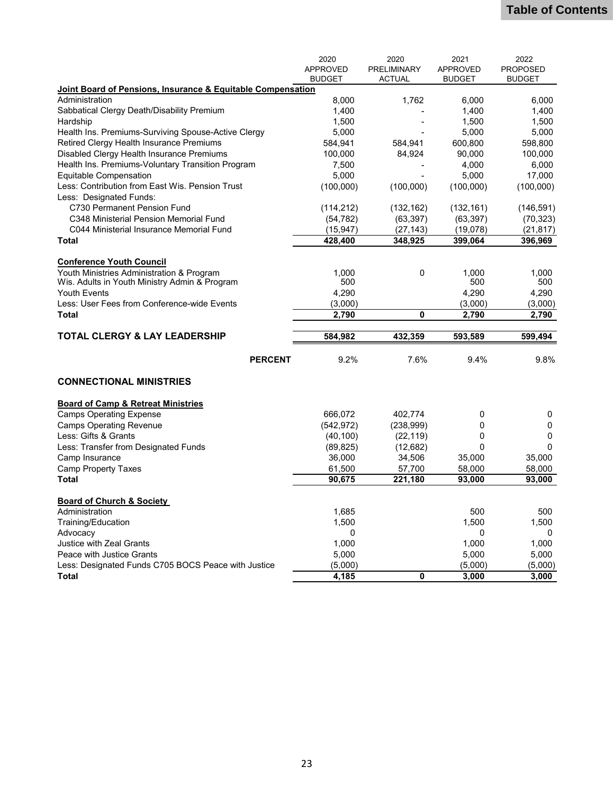|                                                             | 2020            | 2020               | 2021            | 2022            |
|-------------------------------------------------------------|-----------------|--------------------|-----------------|-----------------|
|                                                             | <b>APPROVED</b> | <b>PRELIMINARY</b> | <b>APPROVED</b> | <b>PROPOSED</b> |
|                                                             | <b>BUDGET</b>   | <b>ACTUAL</b>      | <b>BUDGET</b>   | <b>BUDGET</b>   |
| Joint Board of Pensions, Insurance & Equitable Compensation |                 |                    |                 |                 |
| Administration                                              | 8,000           | 1,762              | 6,000           | 6,000           |
| Sabbatical Clergy Death/Disability Premium                  | 1,400           |                    | 1,400           | 1,400           |
| Hardship                                                    | 1,500           |                    | 1,500           | 1,500           |
| Health Ins. Premiums-Surviving Spouse-Active Clergy         | 5,000           |                    | 5,000           | 5,000           |
| Retired Clergy Health Insurance Premiums                    | 584,941         | 584,941            | 600,800         | 598,800         |
| Disabled Clergy Health Insurance Premiums                   | 100,000         | 84,924             | 90,000          | 100,000         |
| Health Ins. Premiums-Voluntary Transition Program           | 7,500           |                    | 4,000           | 6,000           |
| <b>Equitable Compensation</b>                               | 5,000           |                    | 5,000           | 17,000          |
| Less: Contribution from East Wis. Pension Trust             | (100,000)       | (100,000)          | (100,000)       | (100,000)       |
| Less: Designated Funds:                                     |                 |                    |                 |                 |
| C730 Permanent Pension Fund                                 | (114, 212)      | (132, 162)         | (132, 161)      | (146, 591)      |
| C348 Ministerial Pension Memorial Fund                      | (54, 782)       | (63, 397)          | (63, 397)       | (70, 323)       |
| C044 Ministerial Insurance Memorial Fund                    | (15, 947)       | (27, 143)          | (19,078)        | (21, 817)       |
| <b>Total</b>                                                | 428,400         | 348,925            | 399,064         | 396,969         |
|                                                             |                 |                    |                 |                 |
| <b>Conference Youth Council</b>                             |                 |                    |                 |                 |
| Youth Ministries Administration & Program                   | 1,000           | 0                  | 1,000           | 1.000           |
| Wis. Adults in Youth Ministry Admin & Program               | 500             |                    | 500             | 500             |
| <b>Youth Events</b>                                         | 4,290           |                    | 4,290           | 4,290           |
| Less: User Fees from Conference-wide Events                 | (3,000)         |                    | (3,000)         | (3,000)         |
| Total                                                       | 2,790           | 0                  | 2,790           | 2,790           |
|                                                             |                 |                    |                 |                 |
| <b>TOTAL CLERGY &amp; LAY LEADERSHIP</b>                    | 584,982         | 432,359            | 593,589         | 599,494         |
| <b>PERCENT</b>                                              | 9.2%            | 7.6%               | 9.4%            | 9.8%            |
| <b>CONNECTIONAL MINISTRIES</b>                              |                 |                    |                 |                 |
|                                                             |                 |                    |                 |                 |
| <b>Board of Camp &amp; Retreat Ministries</b>               |                 |                    |                 |                 |
| <b>Camps Operating Expense</b>                              | 666,072         | 402,774            | 0               | 0               |
| <b>Camps Operating Revenue</b>                              | (542, 972)      | (238,999)          | 0               | 0               |
| Less: Gifts & Grants                                        | (40, 100)       | (22, 119)          | 0               | 0               |
| Less: Transfer from Designated Funds                        | (89, 825)       | (12,682)           | $\Omega$        | 0               |
| Camp Insurance                                              | 36,000          | 34,506             | 35,000          | 35,000          |
| <b>Camp Property Taxes</b>                                  | 61,500          | 57,700             | 58,000          | 58,000          |
| <b>Total</b>                                                | 90,675          | 221,180            | 93,000          | 93,000          |
|                                                             |                 |                    |                 |                 |
| <b>Board of Church &amp; Society</b>                        |                 |                    |                 |                 |
| Administration                                              | 1,685           |                    | 500             | 500             |
| Training/Education                                          | 1,500           |                    | 1,500           | 1,500           |
| Advocacy                                                    | 0               |                    | 0               | 0               |
| <b>Justice with Zeal Grants</b>                             | 1,000           |                    | 1,000           | 1,000           |
| Peace with Justice Grants                                   | 5,000           |                    | 5,000           | 5,000           |
| Less: Designated Funds C705 BOCS Peace with Justice         | (5,000)         |                    | (5,000)         | (5,000)         |
| <b>Total</b>                                                | 4,185           | 0                  | 3,000           | 3,000           |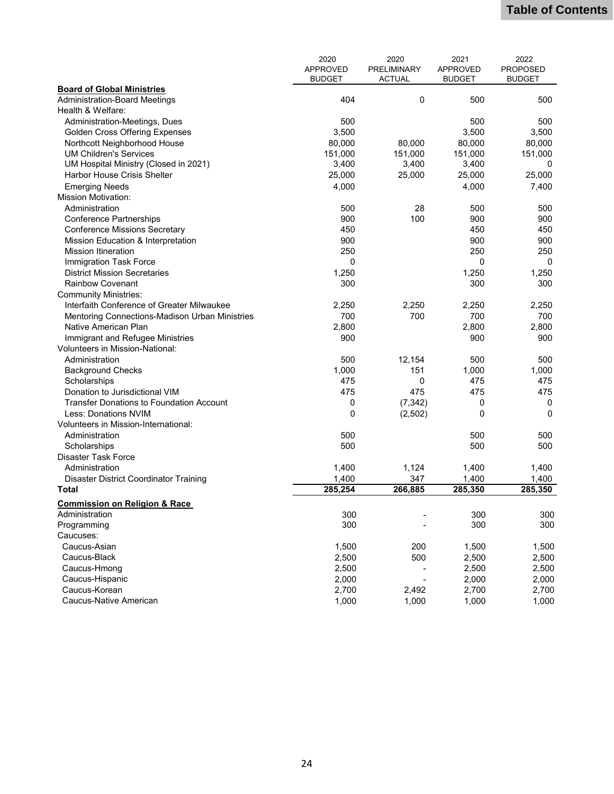|                                                | 2020            | 2020               | 2021              | 2022            |
|------------------------------------------------|-----------------|--------------------|-------------------|-----------------|
|                                                | <b>APPROVED</b> | <b>PRELIMINARY</b> | <b>APPROVED</b>   | <b>PROPOSED</b> |
|                                                | <b>BUDGET</b>   | <b>ACTUAL</b>      | <b>BUDGET</b>     | <b>BUDGET</b>   |
| <b>Board of Global Ministries</b>              |                 |                    |                   |                 |
| <b>Administration-Board Meetings</b>           | 404             | $\mathbf 0$        | 500               | 500             |
| Health & Welfare:                              |                 |                    |                   |                 |
| Administration-Meetings, Dues                  | 500             |                    | 500               | 500             |
| <b>Golden Cross Offering Expenses</b>          | 3,500           |                    | 3,500             | 3,500           |
| Northcott Neighborhood House                   | 80,000          | 80,000             | 80,000            | 80,000          |
| <b>UM Children's Services</b>                  | 151,000         | 151,000            | 151,000           | 151,000         |
| UM Hospital Ministry (Closed in 2021)          | 3,400           | 3,400              | 3,400             | 0               |
| Harbor House Crisis Shelter                    | 25,000          | 25,000             | 25,000            | 25,000          |
| <b>Emerging Needs</b>                          | 4,000           |                    | 4,000             | 7,400           |
| <b>Mission Motivation:</b>                     |                 |                    |                   |                 |
| Administration                                 | 500             | 28                 | 500               | 500             |
| <b>Conference Partnerships</b>                 | 900             | 100                | 900               | 900             |
| <b>Conference Missions Secretary</b>           | 450             |                    | 450               | 450             |
| Mission Education & Interpretation             | 900             |                    | 900               | 900             |
| <b>Mission Itineration</b>                     | 250             |                    | 250               | 250             |
| Immigration Task Force                         | $\mathbf 0$     |                    | 0                 | 0               |
| <b>District Mission Secretaries</b>            | 1,250           |                    | 1,250             | 1,250           |
| <b>Rainbow Covenant</b>                        | 300             |                    | 300               | 300             |
| <b>Community Ministries:</b>                   |                 |                    |                   |                 |
| Interfaith Conference of Greater Milwaukee     | 2,250           | 2,250              | 2,250             | 2,250           |
| Mentoring Connections-Madison Urban Ministries | 700             | 700                | 700               | 700             |
| Native American Plan                           | 2,800           |                    | 2,800             | 2,800           |
| Immigrant and Refugee Ministries               | 900             |                    | 900               | 900             |
| Volunteers in Mission-National:                |                 |                    |                   |                 |
| Administration                                 | 500             | 12,154             | 500               | 500             |
| <b>Background Checks</b>                       | 1,000           | 151                | 1,000             | 1,000           |
|                                                | 475             | 0                  | 475               | 475             |
| Scholarships<br>Donation to Jurisdictional VIM | 475             | 475                | 475               |                 |
|                                                |                 |                    |                   | 475             |
| Transfer Donations to Foundation Account       | 0               | (7, 342)           | 0<br>$\mathbf{0}$ | 0               |
| Less: Donations NVIM                           | 0               | (2,502)            |                   | 0               |
| Volunteers in Mission-International:           |                 |                    |                   |                 |
| Administration                                 | 500             |                    | 500               | 500             |
| Scholarships                                   | 500             |                    | 500               | 500             |
| <b>Disaster Task Force</b>                     |                 |                    |                   |                 |
| Administration                                 | 1,400           | 1,124              | 1,400             | 1,400           |
| Disaster District Coordinator Training         | 1,400           | 347                | 1,400             | 1,400           |
| <b>Total</b>                                   | 285,254         | 266,885            | 285,350           | 285,350         |
| <b>Commission on Religion &amp; Race</b>       |                 |                    |                   |                 |
| Administration                                 | 300             |                    | 300               | 300             |
| Programming                                    | 300             |                    | 300               | 300             |
| Caucuses:                                      |                 |                    |                   |                 |
| Caucus-Asian                                   | 1,500           | 200                | 1,500             | 1,500           |
| Caucus-Black                                   | 2,500           | 500                | 2,500             | 2,500           |
| Caucus-Hmong                                   | 2,500           |                    | 2,500             | 2,500           |
| Caucus-Hispanic                                | 2,000           |                    | 2,000             | 2,000           |
| Caucus-Korean                                  | 2,700           | 2,492              | 2,700             | 2,700           |
| Caucus-Native American                         | 1,000           | 1,000              | 1,000             | 1,000           |
|                                                |                 |                    |                   |                 |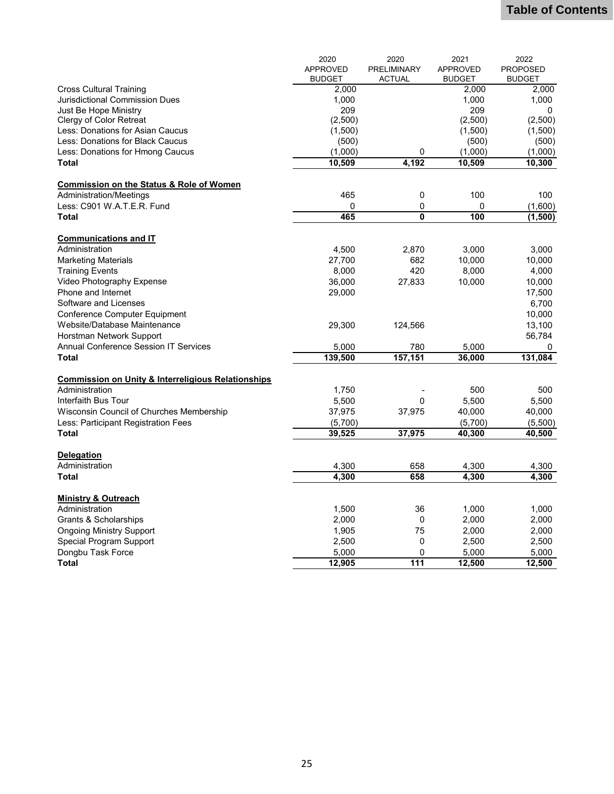|                                                               | 2020            | 2020                    | 2021            | 2022            |
|---------------------------------------------------------------|-----------------|-------------------------|-----------------|-----------------|
|                                                               | <b>APPROVED</b> | PRELIMINARY             | <b>APPROVED</b> | <b>PROPOSED</b> |
|                                                               | <b>BUDGET</b>   | <b>ACTUAL</b>           | <b>BUDGET</b>   | <b>BUDGET</b>   |
| <b>Cross Cultural Training</b>                                | 2,000           |                         | 2,000           | 2,000           |
| <b>Jurisdictional Commission Dues</b>                         | 1,000           |                         | 1,000           | 1,000           |
| Just Be Hope Ministry                                         | 209             |                         | 209             | 0               |
| Clergy of Color Retreat                                       | (2,500)         |                         | (2,500)         | (2,500)         |
| Less: Donations for Asian Caucus                              | (1,500)         |                         | (1,500)         | (1,500)         |
| Less: Donations for Black Caucus                              | (500)           |                         | (500)           | (500)           |
| Less: Donations for Hmong Caucus                              | (1,000)         | $\mathbf 0$             | (1,000)         | (1,000)         |
| <b>Total</b>                                                  | 10,509          | 4,192                   | 10,509          | 10,300          |
|                                                               |                 |                         |                 |                 |
| <b>Commission on the Status &amp; Role of Women</b>           |                 |                         |                 |                 |
| Administration/Meetings                                       | 465             | 0                       | 100             | 100             |
| Less: C901 W.A.T.E.R. Fund                                    | 0               | 0                       | 0               | (1,600)         |
| <b>Total</b>                                                  | 465             | $\overline{\mathbf{0}}$ | 100             | (1, 500)        |
|                                                               |                 |                         |                 |                 |
| <b>Communications and IT</b><br>Administration                |                 | 2,870                   | 3,000           | 3,000           |
|                                                               | 4,500           |                         |                 |                 |
| <b>Marketing Materials</b>                                    | 27,700          | 682<br>420              | 10,000          | 10,000          |
| <b>Training Events</b>                                        | 8,000           |                         | 8,000           | 4,000           |
| Video Photography Expense                                     | 36,000          | 27,833                  | 10,000          | 10,000          |
| Phone and Internet                                            | 29,000          |                         |                 | 17,500          |
| Software and Licenses                                         |                 |                         |                 | 6,700           |
| Conference Computer Equipment                                 |                 |                         |                 | 10,000          |
| Website/Database Maintenance                                  | 29,300          | 124,566                 |                 | 13,100          |
| Horstman Network Support                                      |                 |                         |                 | 56,784          |
| <b>Annual Conference Session IT Services</b>                  | 5,000           | 780                     | 5,000           | 0               |
| <b>Total</b>                                                  | 139,500         | 157,151                 | 36,000          | 131,084         |
| <b>Commission on Unity &amp; Interreligious Relationships</b> |                 |                         |                 |                 |
| Administration                                                | 1,750           |                         | 500             | 500             |
| Interfaith Bus Tour                                           | 5,500           | $\mathbf 0$             | 5,500           | 5,500           |
| Wisconsin Council of Churches Membership                      | 37,975          | 37,975                  | 40,000          | 40,000          |
| Less: Participant Registration Fees                           | (5,700)         |                         | (5,700)         | (5,500)         |
| <b>Total</b>                                                  | 39,525          | 37,975                  | 40,300          | 40,500          |
|                                                               |                 |                         |                 |                 |
| <b>Delegation</b>                                             |                 |                         |                 |                 |
| Administration                                                | 4,300           | 658                     | 4,300           | 4,300           |
| <b>Total</b>                                                  | 4,300           | 658                     | 4,300           | 4,300           |
|                                                               |                 |                         |                 |                 |
| <b>Ministry &amp; Outreach</b>                                |                 |                         |                 |                 |
| Administration                                                | 1,500           | 36                      | 1,000           | 1,000           |
| Grants & Scholarships                                         | 2,000           | $\mathbf 0$             | 2,000           | 2,000           |
| <b>Ongoing Ministry Support</b>                               | 1,905           | 75                      | 2,000           | 2,000           |
| Special Program Support                                       | 2,500           | 0                       | 2,500           | 2,500           |
| Dongbu Task Force                                             | 5,000           | 0                       | 5,000           | 5,000           |
| <b>Total</b>                                                  | 12,905          | 111                     | 12,500          | 12,500          |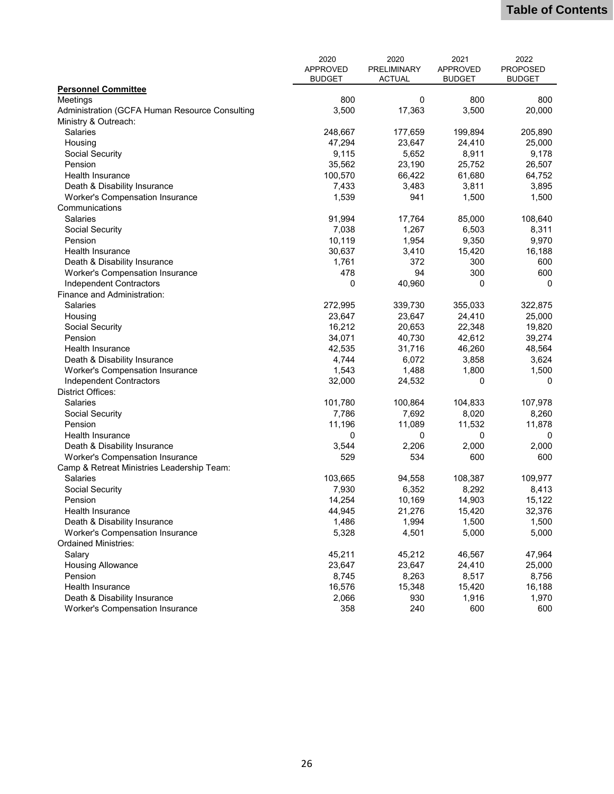|                                                                       | 2020            | 2020          | 2021             | 2022            |
|-----------------------------------------------------------------------|-----------------|---------------|------------------|-----------------|
|                                                                       | <b>APPROVED</b> | PRELIMINARY   | <b>APPROVED</b>  | <b>PROPOSED</b> |
|                                                                       | <b>BUDGET</b>   | <b>ACTUAL</b> | <b>BUDGET</b>    | <b>BUDGET</b>   |
| <b>Personnel Committee</b>                                            |                 |               |                  |                 |
| Meetings                                                              | 800             | $\Omega$      | 800              | 800             |
| Administration (GCFA Human Resource Consulting                        | 3,500           | 17,363        | 3,500            | 20,000          |
| Ministry & Outreach:                                                  |                 |               |                  |                 |
| <b>Salaries</b>                                                       | 248,667         | 177,659       | 199,894          | 205,890         |
| Housing                                                               | 47,294          | 23,647        | 24,410           | 25,000          |
| Social Security                                                       | 9,115           | 5,652         | 8,911            | 9,178           |
| Pension                                                               | 35,562          | 23,190        | 25,752           | 26,507          |
| <b>Health Insurance</b>                                               | 100,570         | 66,422        | 61,680           | 64,752          |
| Death & Disability Insurance                                          | 7,433           | 3,483         | 3,811            | 3,895           |
| <b>Worker's Compensation Insurance</b>                                | 1,539           | 941           | 1,500            | 1,500           |
| Communications                                                        |                 |               |                  |                 |
| <b>Salaries</b>                                                       | 91,994          | 17,764        | 85,000           | 108,640         |
| Social Security                                                       | 7,038           | 1,267         | 6,503            | 8,311           |
| Pension                                                               | 10,119          | 1,954         | 9,350            | 9,970           |
| Health Insurance                                                      | 30,637          | 3,410         | 15,420           | 16,188          |
| Death & Disability Insurance                                          | 1,761           | 372           | 300              | 600             |
| <b>Worker's Compensation Insurance</b>                                | 478             | 94            | 300              | 600             |
| Independent Contractors                                               | 0               | 40,960        | 0                | 0               |
| Finance and Administration:                                           |                 |               |                  |                 |
| Salaries                                                              | 272,995         | 339,730       | 355,033          | 322,875         |
| Housing                                                               | 23,647          | 23,647        | 24,410           | 25,000          |
| Social Security                                                       | 16,212          | 20,653        | 22,348           | 19,820          |
| Pension                                                               | 34,071          | 40,730        | 42,612           | 39,274          |
| Health Insurance                                                      | 42,535          | 31,716        | 46,260           | 48,564          |
| Death & Disability Insurance                                          | 4,744           | 6,072         | 3,858            | 3,624           |
| <b>Worker's Compensation Insurance</b>                                | 1,543           | 1,488         | 1,800            | 1,500           |
| Independent Contractors                                               | 32,000          | 24,532        | 0                | 0               |
| <b>District Offices:</b>                                              |                 |               |                  |                 |
| Salaries                                                              | 101,780         | 100,864       | 104,833          | 107,978         |
| Social Security                                                       | 7,786           | 7,692         | 8,020            | 8,260           |
| Pension                                                               | 11,196          | 11,089        | 11,532           | 11,878          |
| Health Insurance                                                      | 0               | 0             | 0                | 0               |
| Death & Disability Insurance                                          | 3,544           | 2,206         | 2,000            | 2,000           |
| <b>Worker's Compensation Insurance</b>                                | 529             | 534           | 600              | 600             |
| Camp & Retreat Ministries Leadership Team:                            |                 |               |                  |                 |
| Salaries                                                              | 103,665         | 94,558        | 108,387          | 109,977         |
| Social Security                                                       | 7,930           | 6,352         | 8,292            | 8,413           |
| Pension                                                               |                 | 10,169        |                  | 15,122          |
|                                                                       | 14,254          | 21,276        | 14,903<br>15,420 | 32,376          |
| Health Insurance                                                      | 44,945<br>1,486 | 1,994         | 1,500            | 1,500           |
| Death & Disability Insurance                                          |                 |               |                  |                 |
| <b>Worker's Compensation Insurance</b><br><b>Ordained Ministries:</b> | 5,328           | 4,501         | 5,000            | 5,000           |
|                                                                       |                 |               |                  |                 |
| Salary                                                                | 45,211          | 45,212        | 46,567           | 47,964          |
| <b>Housing Allowance</b>                                              | 23,647          | 23,647        | 24,410           | 25,000          |
| Pension                                                               | 8,745           | 8,263         | 8,517            | 8,756           |
| Health Insurance                                                      | 16,576          | 15,348        | 15,420           | 16,188          |
| Death & Disability Insurance                                          | 2,066           | 930           | 1,916            | 1,970           |
| Worker's Compensation Insurance                                       | 358             | 240           | 600              | 600             |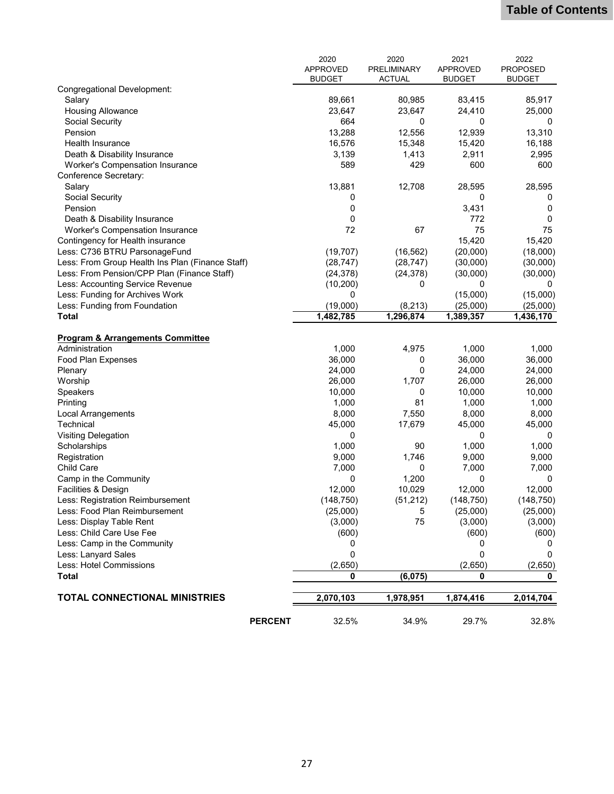|                                                  | 2020            | 2020          | 2021            | 2022            |
|--------------------------------------------------|-----------------|---------------|-----------------|-----------------|
|                                                  | <b>APPROVED</b> | PRELIMINARY   | <b>APPROVED</b> | <b>PROPOSED</b> |
|                                                  | <b>BUDGET</b>   | <b>ACTUAL</b> | <b>BUDGET</b>   | <b>BUDGET</b>   |
| Congregational Development:                      |                 |               |                 |                 |
| Salary                                           | 89,661          | 80,985        | 83,415          | 85,917          |
| <b>Housing Allowance</b>                         | 23,647          | 23,647        | 24,410          | 25,000          |
| Social Security                                  | 664             | 0             | 0               | 0               |
| Pension                                          | 13,288          | 12,556        | 12,939          | 13,310          |
| Health Insurance                                 | 16,576          | 15,348        | 15,420          | 16,188          |
| Death & Disability Insurance                     | 3,139           | 1,413         | 2,911           | 2,995           |
| <b>Worker's Compensation Insurance</b>           | 589             | 429           | 600             | 600             |
| Conference Secretary:                            |                 |               |                 |                 |
| Salary                                           | 13,881          | 12,708        | 28,595          | 28,595          |
| Social Security                                  | 0               |               | 0               | 0               |
| Pension                                          | 0               |               | 3,431           | 0               |
| Death & Disability Insurance                     | 0               |               | 772             | 0               |
| <b>Worker's Compensation Insurance</b>           | 72              | 67            | 75              | 75              |
| Contingency for Health insurance                 |                 |               | 15,420          | 15,420          |
| Less: C736 BTRU ParsonageFund                    | (19, 707)       | (16, 562)     | (20,000)        | (18,000)        |
| Less: From Group Health Ins Plan (Finance Staff) | (28, 747)       | (28, 747)     | (30,000)        | (30,000)        |
| Less: From Pension/CPP Plan (Finance Staff)      | (24, 378)       | (24, 378)     | (30,000)        | (30,000)        |
| Less: Accounting Service Revenue                 | (10, 200)       | 0             | 0               | 0               |
| Less: Funding for Archives Work                  | 0               |               | (15,000)        | (15,000)        |
| Less: Funding from Foundation                    | (19,000)        | (8, 213)      | (25,000)        | (25,000)        |
| <b>Total</b>                                     | 1,482,785       | 1,296,874     | 1,389,357       | 1,436,170       |
|                                                  |                 |               |                 |                 |
| <b>Program &amp; Arrangements Committee</b>      |                 |               |                 |                 |
| Administration                                   | 1,000           | 4,975         | 1,000           | 1,000           |
| Food Plan Expenses                               | 36,000          | 0             | 36,000          | 36,000          |
| Plenary                                          | 24,000          | 0             | 24,000          | 24,000          |
| Worship                                          | 26,000          | 1,707         | 26,000          | 26,000          |
| Speakers                                         | 10,000          | 0             | 10,000          | 10,000          |
| Printing                                         | 1,000           | 81            | 1,000           | 1,000           |
| <b>Local Arrangements</b>                        | 8,000           | 7,550         | 8,000           | 8,000           |
| Technical                                        | 45,000          | 17,679        | 45,000          | 45,000          |
| <b>Visiting Delegation</b>                       | 0               |               | 0               | 0               |
| Scholarships                                     | 1,000           | 90            | 1,000           | 1,000           |
| Registration                                     | 9,000           | 1,746         | 9,000           | 9,000           |
| <b>Child Care</b>                                | 7,000           | 0             | 7,000           | 7,000           |
| Camp in the Community                            | 0               | 1,200         | 0               | 0               |
| Facilities & Design                              | 12,000          | 10,029        | 12,000          | 12,000          |
| Less: Registration Reimbursement                 | (148, 750)      | (51, 212)     | (148, 750)      | (148, 750)      |
| Less: Food Plan Reimbursement                    | (25,000)        | 5             | (25,000)        | (25,000)        |
| Less: Display Table Rent                         | (3,000)         | 75            | (3,000)         | (3,000)         |
| Less: Child Care Use Fee                         | (600)           |               | (600)           | (600)           |
| Less: Camp in the Community                      | 0               |               | 0               | 0               |
| Less: Lanyard Sales                              | 0               |               | 0               | 0               |
| Less: Hotel Commissions                          | (2,650)         |               | (2,650)         | (2,650)         |
| <b>Total</b>                                     | 0               | (6,075)       | 0               | 0               |
|                                                  |                 |               |                 |                 |
| <b>TOTAL CONNECTIONAL MINISTRIES</b>             | 2,070,103       | 1,978,951     | 1,874,416       | 2,014,704       |
| <b>PERCENT</b>                                   | 32.5%           | 34.9%         | 29.7%           | 32.8%           |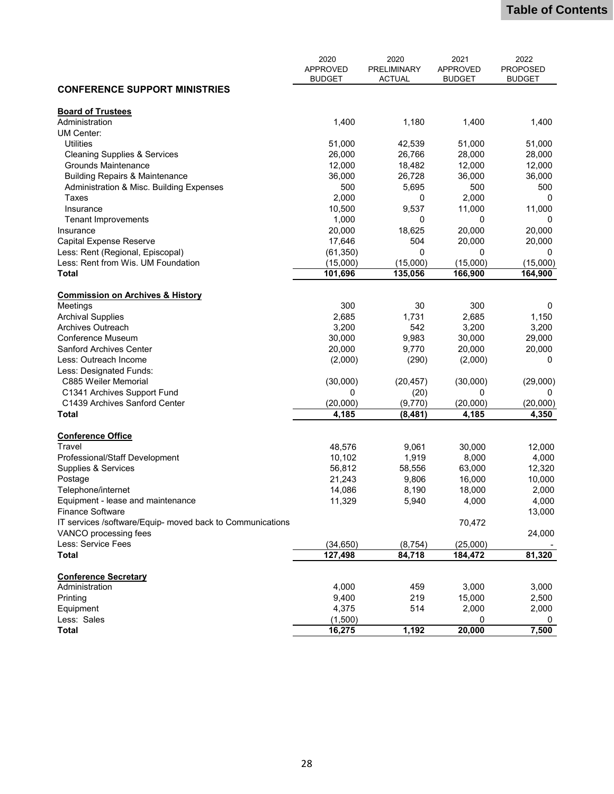|                                                           | 2020<br><b>APPROVED</b><br><b>BUDGET</b> | 2020<br>PRELIMINARY<br><b>ACTUAL</b> | 2021<br><b>APPROVED</b><br><b>BUDGET</b> | 2022<br><b>PROPOSED</b><br><b>BUDGET</b> |
|-----------------------------------------------------------|------------------------------------------|--------------------------------------|------------------------------------------|------------------------------------------|
| <b>CONFERENCE SUPPORT MINISTRIES</b>                      |                                          |                                      |                                          |                                          |
| <b>Board of Trustees</b>                                  |                                          |                                      |                                          |                                          |
| Administration                                            | 1,400                                    | 1,180                                | 1,400                                    | 1,400                                    |
| UM Center:                                                |                                          |                                      |                                          |                                          |
| <b>Utilities</b>                                          | 51,000                                   | 42,539                               | 51,000                                   | 51,000                                   |
| <b>Cleaning Supplies &amp; Services</b>                   | 26,000                                   | 26,766                               | 28,000                                   | 28,000                                   |
| <b>Grounds Maintenance</b>                                | 12,000                                   | 18,482                               | 12,000                                   | 12,000                                   |
| <b>Building Repairs &amp; Maintenance</b>                 | 36,000                                   | 26,728                               | 36,000                                   | 36,000                                   |
| Administration & Misc. Building Expenses                  | 500                                      | 5,695                                | 500                                      | 500                                      |
| Taxes                                                     | 2,000                                    | 0                                    | 2,000                                    | 0                                        |
| Insurance                                                 | 10,500                                   | 9,537                                | 11,000                                   | 11,000                                   |
| <b>Tenant Improvements</b>                                | 1,000                                    | 0                                    | 0                                        | 0                                        |
| Insurance                                                 | 20,000                                   | 18,625                               | 20,000                                   | 20,000                                   |
| Capital Expense Reserve                                   | 17,646                                   | 504                                  | 20,000                                   | 20,000                                   |
| Less: Rent (Regional, Episcopal)                          | (61, 350)                                | $\mathbf 0$                          | 0                                        | 0                                        |
| Less: Rent from Wis. UM Foundation                        | (15,000)                                 | (15,000)                             | (15,000)                                 | (15,000)                                 |
| <b>Total</b>                                              | 101,696                                  | 135,056                              | 166,900                                  | 164,900                                  |
|                                                           |                                          |                                      |                                          |                                          |
| <b>Commission on Archives &amp; History</b>               |                                          |                                      |                                          |                                          |
| Meetings                                                  | 300                                      | 30                                   | 300                                      | 0                                        |
| <b>Archival Supplies</b>                                  | 2,685                                    | 1,731                                | 2,685                                    | 1,150                                    |
| Archives Outreach                                         | 3,200                                    | 542                                  | 3,200                                    | 3,200                                    |
| Conference Museum                                         | 30,000                                   | 9,983                                | 30,000                                   | 29,000                                   |
| <b>Sanford Archives Center</b>                            | 20,000                                   | 9,770                                | 20,000                                   | 20,000                                   |
| Less: Outreach Income                                     | (2,000)                                  | (290)                                | (2,000)                                  | 0                                        |
| Less: Designated Funds:                                   |                                          |                                      |                                          |                                          |
| C885 Weiler Memorial                                      | (30,000)                                 | (20, 457)                            | (30,000)                                 | (29,000)                                 |
| C1341 Archives Support Fund                               | 0                                        | (20)                                 | 0                                        | 0                                        |
| C1439 Archives Sanford Center                             | (20,000)                                 | (9,770)                              | (20,000)                                 | (20,000)                                 |
| <b>Total</b>                                              | 4,185                                    | (8, 481)                             | 4,185                                    | 4,350                                    |
| <b>Conference Office</b>                                  |                                          |                                      |                                          |                                          |
| Travel                                                    | 48,576                                   | 9,061                                | 30,000                                   | 12,000                                   |
| Professional/Staff Development                            | 10,102                                   | 1,919                                | 8,000                                    | 4,000                                    |
| Supplies & Services                                       | 56,812                                   | 58,556                               | 63,000                                   | 12,320                                   |
| Postage                                                   | 21,243                                   | 9,806                                | 16,000                                   | 10,000                                   |
| Telephone/internet                                        | 14,086                                   | 8,190                                | 18,000                                   | 2,000                                    |
| Equipment - lease and maintenance                         | 11,329                                   | 5,940                                | 4,000                                    | 4,000                                    |
| Finance Software                                          |                                          |                                      |                                          | 13,000                                   |
| IT services /software/Equip- moved back to Communications |                                          |                                      | 70,472                                   |                                          |
|                                                           |                                          |                                      |                                          |                                          |
| VANCO processing fees<br>Less: Service Fees               |                                          |                                      |                                          | 24,000                                   |
| <b>Total</b>                                              | (34, 650)<br>127,498                     | (8, 754)<br>84,718                   | (25,000)<br>184,472                      | 81,320                                   |
|                                                           |                                          |                                      |                                          |                                          |
| <b>Conference Secretary</b>                               |                                          |                                      |                                          |                                          |
| Administration                                            | 4,000                                    | 459                                  | 3,000                                    | 3,000                                    |
| Printing                                                  | 9,400                                    | 219                                  | 15,000                                   | 2,500                                    |
| Equipment                                                 | 4,375                                    | 514                                  | 2,000                                    | 2,000                                    |
| Less: Sales                                               | (1,500)                                  |                                      | 0                                        | 0                                        |
| <b>Total</b>                                              | 16,275                                   | 1,192                                | 20,000                                   | 7,500                                    |